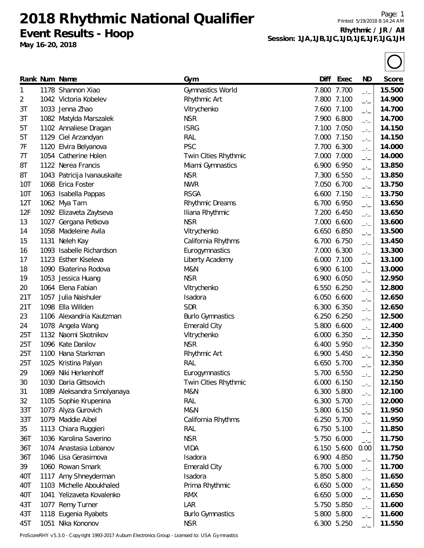**Event Results - Hoop**

**May 16-20, 2018**

Page: 1 Printed: 5/19/2018 8:14:24 AM **Rhythmic / JR / All Session: 1JA,1JB,1JC,1JD,1JE,1JF,1JG,1JH**

| 7.800 7.700<br>15.500<br>1178 Shannon Xiao<br>Gymnastics World<br>1<br>$\overline{\phantom{a}}$<br>7.800 7.100<br>1042 Victoria Kobelev<br>Rhythmic Art<br>14.900<br>2<br>$\overline{\phantom{a}}$<br>14.700<br>3T<br>1033 Jenna Zhao<br>Vitrychenko<br>7.600 7.100<br>$-1$<br><b>NSR</b><br>1082 Matylda Marszalek<br>7.900 6.800<br>14.700<br>3T<br>$-1$<br><b>ISRG</b><br>7.100 7.050<br>14.150<br>1102 Annaliese Dragan<br>5T<br>$\overline{\phantom{a}}$<br>1129 Ciel Arzandyan<br>RAL<br>7.000 7.150<br>14.150<br>5T<br>$\rightarrow$<br><b>PSC</b><br>14.000<br>7F<br>1120 Elvira Belyanova<br>7.700 6.300<br>$\overline{\phantom{a}}$<br>1054 Catherine Holen<br>14.000<br>7T<br>Twin Cities Rhythmic<br>7.000 7.000<br>$-1$<br>13.850<br>8T<br>1122 Nerea Francis<br>Miami Gymnastics<br>6.900 6.950<br>$\rightarrow$<br><b>NSR</b><br>13.850<br>8T<br>1043 Patricija Ivanauskaite<br>7.300 6.550<br>$\overline{\phantom{a}}$<br>13.750<br><b>NWR</b><br>10T<br>1068 Erica Foster<br>7.050 6.700<br>$\Box$<br><b>RSGA</b><br>6.600 7.150<br>13.750<br>10T<br>1063 Isabella Pappas<br>$-1$<br>1062 Mya Tam<br>6.700 6.950<br>13.650<br>12T<br>Rhythmic Dreams<br>$\rightarrow$<br>12F<br>13.650<br>1092 Elizaveta Zaytseva<br>Iliana Rhythmic<br>7.200 6.450<br>$\Box$<br><b>NSR</b><br>1027 Gergana Petkova<br>13.600<br>13<br>7.000 6.600<br>$-1$<br>13.500<br>1058 Madeleine Avila<br>Vitrychenko<br>6.650 6.850<br>14<br>$\overline{\phantom{a}}$<br>California Rhythms<br>6.700 6.750<br>13.450<br>15<br>1131 Neleh Kay<br>$\rightarrow$<br>1093 Isabelle Richardson<br>13.300<br>Eurogymnastics<br>7.000 6.300<br>16<br>$\rightarrow$ $\overline{\phantom{0}}$<br>6.000 7.100<br>13.100<br>1123 Esther Kiseleva<br>Liberty Academy<br>17<br>$-1$<br>M&N<br>6.900 6.100<br>13.000<br>1090 Ekaterina Rodova<br>18<br>$\overline{\phantom{a}}$<br><b>NSR</b><br>12.950<br>1053 Jessica Huang<br>6.900 6.050<br>19<br>$\overline{\phantom{a}}$<br>1064 Elena Fabian<br>12.800<br>Vitrychenko<br>6.550 6.250<br>20<br>$\overline{\phantom{a}}$<br>21T<br>12.650<br>1057 Julia Naishuler<br>Isadora<br>6.050 6.600<br>$\rightarrow$<br>1098 Ella Willden<br><b>SDR</b><br>12.650<br>21T<br>6.300 6.350<br>$-1$<br>12.500<br>23<br>1106 Alexandria Kautzman<br><b>Burlo Gymnastics</b><br>6.250 6.250<br>$\overline{\phantom{a}}$<br><b>Emerald City</b><br>12.400<br>24<br>1078 Angela Wang<br>5.800 6.600<br>$-1$<br>1132 Naomi Skotnikov<br>12.350<br>25T<br>Vitrychenko<br>6.000 6.350<br>$ -$<br>1096 Kate Danilov<br><b>NSR</b><br>6.400 5.950<br>12.350<br>25T<br>$-1$<br>12.350<br>25T<br>1100 Hana Starkman<br>Rhythmic Art<br>6.900 5.450<br>$\Box$<br>25T<br>RAL<br>12.350<br>1025 Kristina Palyan<br>6.650 5.700<br>$-1$<br>12.250<br>1069 Niki Herkenhoff<br>5.700 6.550<br>29<br>Eurogymnastics<br>$-1$<br>30<br>1030 Daria Gittsovich<br>6.000 6.150<br>12.150<br>Twin Cities Rhythmic<br>M&N<br>12.100<br>1089 Aleksandra Smolyanaya<br>6.300 5.800<br>31<br>$-1$<br>RAL<br>1105 Sophie Krupenina<br>6.300 5.700<br>12.000<br>32<br>$-1$<br>M&N<br>5.800 6.150<br>11.950<br>33T<br>1073 Alyza Gurovich<br>$-1$<br>1079 Maddie Aibel<br>33T<br>6.250 5.700<br>11.950<br>California Rhythms<br>$-1$<br>35<br>1113 Chiara Ruggieri<br>RAL<br>11.850<br>6.750 5.100<br>$\rightarrow$ $\overline{\phantom{0}}$<br><b>NSR</b><br>1036 Karolina Saverino<br>11.750<br>36T<br>5.750 6.000<br>$-1$<br><b>VIDA</b><br>1074 Anastasia Lobanov<br>6.150 5.600<br>11.750<br>36T<br>0.00<br>1046 Lisa Gerasimova<br>Isadora<br>11.750<br>36T<br>6.900 4.850<br>$\overline{\phantom{a}}$<br>1060 Rowan Smark<br><b>Emerald City</b><br>11.700<br>39<br>6.700 5.000<br>$-1$<br>1117 Amy Shneyderman<br>5.850 5.800<br>40T<br>Isadora<br>11.650<br>$-1$<br>1103 Michelle Aboukhaled<br>40T<br>Prima Rhythmic<br>6.650 5.000<br>11.650<br>$-1$<br>40T<br>1041 Yelizaveta Kovalenko<br><b>RMX</b><br>6.650 5.000<br>11.650<br>$\rightarrow$<br>LAR<br>11.600<br>43T<br>1077 Remy Turner<br>5.750 5.850<br>$-1$<br>1118 Eugenia Ryabets<br>5.800 5.800<br>43T<br>11.600<br><b>Burlo Gymnastics</b><br>$-1$<br>1051 Nika Kononov<br>45T<br><b>NSR</b><br>6.300 5.250 |  | Rank Num Name | Gym | Diff | Exec | ND | Score  |
|------------------------------------------------------------------------------------------------------------------------------------------------------------------------------------------------------------------------------------------------------------------------------------------------------------------------------------------------------------------------------------------------------------------------------------------------------------------------------------------------------------------------------------------------------------------------------------------------------------------------------------------------------------------------------------------------------------------------------------------------------------------------------------------------------------------------------------------------------------------------------------------------------------------------------------------------------------------------------------------------------------------------------------------------------------------------------------------------------------------------------------------------------------------------------------------------------------------------------------------------------------------------------------------------------------------------------------------------------------------------------------------------------------------------------------------------------------------------------------------------------------------------------------------------------------------------------------------------------------------------------------------------------------------------------------------------------------------------------------------------------------------------------------------------------------------------------------------------------------------------------------------------------------------------------------------------------------------------------------------------------------------------------------------------------------------------------------------------------------------------------------------------------------------------------------------------------------------------------------------------------------------------------------------------------------------------------------------------------------------------------------------------------------------------------------------------------------------------------------------------------------------------------------------------------------------------------------------------------------------------------------------------------------------------------------------------------------------------------------------------------------------------------------------------------------------------------------------------------------------------------------------------------------------------------------------------------------------------------------------------------------------------------------------------------------------------------------------------------------------------------------------------------------------------------------------------------------------------------------------------------------------------------------------------------------------------------------------------------------------------------------------------------------------------------------------------------------------------------------------------------------------------------------------------------------------------------------------------------------------------------------------------------------------------------------------------------------------------------------------------------------------------------------------------------------------------------------------------------------------------------------------------------------------------------------------------------------------------------------------------------------------------------------------------------------------------------------------------------------------------------------------------------------------------|--|---------------|-----|------|------|----|--------|
|                                                                                                                                                                                                                                                                                                                                                                                                                                                                                                                                                                                                                                                                                                                                                                                                                                                                                                                                                                                                                                                                                                                                                                                                                                                                                                                                                                                                                                                                                                                                                                                                                                                                                                                                                                                                                                                                                                                                                                                                                                                                                                                                                                                                                                                                                                                                                                                                                                                                                                                                                                                                                                                                                                                                                                                                                                                                                                                                                                                                                                                                                                                                                                                                                                                                                                                                                                                                                                                                                                                                                                                                                                                                                                                                                                                                                                                                                                                                                                                                                                                                                                                                                                        |  |               |     |      |      |    |        |
|                                                                                                                                                                                                                                                                                                                                                                                                                                                                                                                                                                                                                                                                                                                                                                                                                                                                                                                                                                                                                                                                                                                                                                                                                                                                                                                                                                                                                                                                                                                                                                                                                                                                                                                                                                                                                                                                                                                                                                                                                                                                                                                                                                                                                                                                                                                                                                                                                                                                                                                                                                                                                                                                                                                                                                                                                                                                                                                                                                                                                                                                                                                                                                                                                                                                                                                                                                                                                                                                                                                                                                                                                                                                                                                                                                                                                                                                                                                                                                                                                                                                                                                                                                        |  |               |     |      |      |    |        |
|                                                                                                                                                                                                                                                                                                                                                                                                                                                                                                                                                                                                                                                                                                                                                                                                                                                                                                                                                                                                                                                                                                                                                                                                                                                                                                                                                                                                                                                                                                                                                                                                                                                                                                                                                                                                                                                                                                                                                                                                                                                                                                                                                                                                                                                                                                                                                                                                                                                                                                                                                                                                                                                                                                                                                                                                                                                                                                                                                                                                                                                                                                                                                                                                                                                                                                                                                                                                                                                                                                                                                                                                                                                                                                                                                                                                                                                                                                                                                                                                                                                                                                                                                                        |  |               |     |      |      |    |        |
|                                                                                                                                                                                                                                                                                                                                                                                                                                                                                                                                                                                                                                                                                                                                                                                                                                                                                                                                                                                                                                                                                                                                                                                                                                                                                                                                                                                                                                                                                                                                                                                                                                                                                                                                                                                                                                                                                                                                                                                                                                                                                                                                                                                                                                                                                                                                                                                                                                                                                                                                                                                                                                                                                                                                                                                                                                                                                                                                                                                                                                                                                                                                                                                                                                                                                                                                                                                                                                                                                                                                                                                                                                                                                                                                                                                                                                                                                                                                                                                                                                                                                                                                                                        |  |               |     |      |      |    |        |
|                                                                                                                                                                                                                                                                                                                                                                                                                                                                                                                                                                                                                                                                                                                                                                                                                                                                                                                                                                                                                                                                                                                                                                                                                                                                                                                                                                                                                                                                                                                                                                                                                                                                                                                                                                                                                                                                                                                                                                                                                                                                                                                                                                                                                                                                                                                                                                                                                                                                                                                                                                                                                                                                                                                                                                                                                                                                                                                                                                                                                                                                                                                                                                                                                                                                                                                                                                                                                                                                                                                                                                                                                                                                                                                                                                                                                                                                                                                                                                                                                                                                                                                                                                        |  |               |     |      |      |    |        |
|                                                                                                                                                                                                                                                                                                                                                                                                                                                                                                                                                                                                                                                                                                                                                                                                                                                                                                                                                                                                                                                                                                                                                                                                                                                                                                                                                                                                                                                                                                                                                                                                                                                                                                                                                                                                                                                                                                                                                                                                                                                                                                                                                                                                                                                                                                                                                                                                                                                                                                                                                                                                                                                                                                                                                                                                                                                                                                                                                                                                                                                                                                                                                                                                                                                                                                                                                                                                                                                                                                                                                                                                                                                                                                                                                                                                                                                                                                                                                                                                                                                                                                                                                                        |  |               |     |      |      |    |        |
|                                                                                                                                                                                                                                                                                                                                                                                                                                                                                                                                                                                                                                                                                                                                                                                                                                                                                                                                                                                                                                                                                                                                                                                                                                                                                                                                                                                                                                                                                                                                                                                                                                                                                                                                                                                                                                                                                                                                                                                                                                                                                                                                                                                                                                                                                                                                                                                                                                                                                                                                                                                                                                                                                                                                                                                                                                                                                                                                                                                                                                                                                                                                                                                                                                                                                                                                                                                                                                                                                                                                                                                                                                                                                                                                                                                                                                                                                                                                                                                                                                                                                                                                                                        |  |               |     |      |      |    |        |
|                                                                                                                                                                                                                                                                                                                                                                                                                                                                                                                                                                                                                                                                                                                                                                                                                                                                                                                                                                                                                                                                                                                                                                                                                                                                                                                                                                                                                                                                                                                                                                                                                                                                                                                                                                                                                                                                                                                                                                                                                                                                                                                                                                                                                                                                                                                                                                                                                                                                                                                                                                                                                                                                                                                                                                                                                                                                                                                                                                                                                                                                                                                                                                                                                                                                                                                                                                                                                                                                                                                                                                                                                                                                                                                                                                                                                                                                                                                                                                                                                                                                                                                                                                        |  |               |     |      |      |    |        |
|                                                                                                                                                                                                                                                                                                                                                                                                                                                                                                                                                                                                                                                                                                                                                                                                                                                                                                                                                                                                                                                                                                                                                                                                                                                                                                                                                                                                                                                                                                                                                                                                                                                                                                                                                                                                                                                                                                                                                                                                                                                                                                                                                                                                                                                                                                                                                                                                                                                                                                                                                                                                                                                                                                                                                                                                                                                                                                                                                                                                                                                                                                                                                                                                                                                                                                                                                                                                                                                                                                                                                                                                                                                                                                                                                                                                                                                                                                                                                                                                                                                                                                                                                                        |  |               |     |      |      |    |        |
|                                                                                                                                                                                                                                                                                                                                                                                                                                                                                                                                                                                                                                                                                                                                                                                                                                                                                                                                                                                                                                                                                                                                                                                                                                                                                                                                                                                                                                                                                                                                                                                                                                                                                                                                                                                                                                                                                                                                                                                                                                                                                                                                                                                                                                                                                                                                                                                                                                                                                                                                                                                                                                                                                                                                                                                                                                                                                                                                                                                                                                                                                                                                                                                                                                                                                                                                                                                                                                                                                                                                                                                                                                                                                                                                                                                                                                                                                                                                                                                                                                                                                                                                                                        |  |               |     |      |      |    |        |
|                                                                                                                                                                                                                                                                                                                                                                                                                                                                                                                                                                                                                                                                                                                                                                                                                                                                                                                                                                                                                                                                                                                                                                                                                                                                                                                                                                                                                                                                                                                                                                                                                                                                                                                                                                                                                                                                                                                                                                                                                                                                                                                                                                                                                                                                                                                                                                                                                                                                                                                                                                                                                                                                                                                                                                                                                                                                                                                                                                                                                                                                                                                                                                                                                                                                                                                                                                                                                                                                                                                                                                                                                                                                                                                                                                                                                                                                                                                                                                                                                                                                                                                                                                        |  |               |     |      |      |    |        |
|                                                                                                                                                                                                                                                                                                                                                                                                                                                                                                                                                                                                                                                                                                                                                                                                                                                                                                                                                                                                                                                                                                                                                                                                                                                                                                                                                                                                                                                                                                                                                                                                                                                                                                                                                                                                                                                                                                                                                                                                                                                                                                                                                                                                                                                                                                                                                                                                                                                                                                                                                                                                                                                                                                                                                                                                                                                                                                                                                                                                                                                                                                                                                                                                                                                                                                                                                                                                                                                                                                                                                                                                                                                                                                                                                                                                                                                                                                                                                                                                                                                                                                                                                                        |  |               |     |      |      |    |        |
|                                                                                                                                                                                                                                                                                                                                                                                                                                                                                                                                                                                                                                                                                                                                                                                                                                                                                                                                                                                                                                                                                                                                                                                                                                                                                                                                                                                                                                                                                                                                                                                                                                                                                                                                                                                                                                                                                                                                                                                                                                                                                                                                                                                                                                                                                                                                                                                                                                                                                                                                                                                                                                                                                                                                                                                                                                                                                                                                                                                                                                                                                                                                                                                                                                                                                                                                                                                                                                                                                                                                                                                                                                                                                                                                                                                                                                                                                                                                                                                                                                                                                                                                                                        |  |               |     |      |      |    |        |
|                                                                                                                                                                                                                                                                                                                                                                                                                                                                                                                                                                                                                                                                                                                                                                                                                                                                                                                                                                                                                                                                                                                                                                                                                                                                                                                                                                                                                                                                                                                                                                                                                                                                                                                                                                                                                                                                                                                                                                                                                                                                                                                                                                                                                                                                                                                                                                                                                                                                                                                                                                                                                                                                                                                                                                                                                                                                                                                                                                                                                                                                                                                                                                                                                                                                                                                                                                                                                                                                                                                                                                                                                                                                                                                                                                                                                                                                                                                                                                                                                                                                                                                                                                        |  |               |     |      |      |    |        |
|                                                                                                                                                                                                                                                                                                                                                                                                                                                                                                                                                                                                                                                                                                                                                                                                                                                                                                                                                                                                                                                                                                                                                                                                                                                                                                                                                                                                                                                                                                                                                                                                                                                                                                                                                                                                                                                                                                                                                                                                                                                                                                                                                                                                                                                                                                                                                                                                                                                                                                                                                                                                                                                                                                                                                                                                                                                                                                                                                                                                                                                                                                                                                                                                                                                                                                                                                                                                                                                                                                                                                                                                                                                                                                                                                                                                                                                                                                                                                                                                                                                                                                                                                                        |  |               |     |      |      |    |        |
|                                                                                                                                                                                                                                                                                                                                                                                                                                                                                                                                                                                                                                                                                                                                                                                                                                                                                                                                                                                                                                                                                                                                                                                                                                                                                                                                                                                                                                                                                                                                                                                                                                                                                                                                                                                                                                                                                                                                                                                                                                                                                                                                                                                                                                                                                                                                                                                                                                                                                                                                                                                                                                                                                                                                                                                                                                                                                                                                                                                                                                                                                                                                                                                                                                                                                                                                                                                                                                                                                                                                                                                                                                                                                                                                                                                                                                                                                                                                                                                                                                                                                                                                                                        |  |               |     |      |      |    |        |
|                                                                                                                                                                                                                                                                                                                                                                                                                                                                                                                                                                                                                                                                                                                                                                                                                                                                                                                                                                                                                                                                                                                                                                                                                                                                                                                                                                                                                                                                                                                                                                                                                                                                                                                                                                                                                                                                                                                                                                                                                                                                                                                                                                                                                                                                                                                                                                                                                                                                                                                                                                                                                                                                                                                                                                                                                                                                                                                                                                                                                                                                                                                                                                                                                                                                                                                                                                                                                                                                                                                                                                                                                                                                                                                                                                                                                                                                                                                                                                                                                                                                                                                                                                        |  |               |     |      |      |    |        |
|                                                                                                                                                                                                                                                                                                                                                                                                                                                                                                                                                                                                                                                                                                                                                                                                                                                                                                                                                                                                                                                                                                                                                                                                                                                                                                                                                                                                                                                                                                                                                                                                                                                                                                                                                                                                                                                                                                                                                                                                                                                                                                                                                                                                                                                                                                                                                                                                                                                                                                                                                                                                                                                                                                                                                                                                                                                                                                                                                                                                                                                                                                                                                                                                                                                                                                                                                                                                                                                                                                                                                                                                                                                                                                                                                                                                                                                                                                                                                                                                                                                                                                                                                                        |  |               |     |      |      |    |        |
|                                                                                                                                                                                                                                                                                                                                                                                                                                                                                                                                                                                                                                                                                                                                                                                                                                                                                                                                                                                                                                                                                                                                                                                                                                                                                                                                                                                                                                                                                                                                                                                                                                                                                                                                                                                                                                                                                                                                                                                                                                                                                                                                                                                                                                                                                                                                                                                                                                                                                                                                                                                                                                                                                                                                                                                                                                                                                                                                                                                                                                                                                                                                                                                                                                                                                                                                                                                                                                                                                                                                                                                                                                                                                                                                                                                                                                                                                                                                                                                                                                                                                                                                                                        |  |               |     |      |      |    |        |
|                                                                                                                                                                                                                                                                                                                                                                                                                                                                                                                                                                                                                                                                                                                                                                                                                                                                                                                                                                                                                                                                                                                                                                                                                                                                                                                                                                                                                                                                                                                                                                                                                                                                                                                                                                                                                                                                                                                                                                                                                                                                                                                                                                                                                                                                                                                                                                                                                                                                                                                                                                                                                                                                                                                                                                                                                                                                                                                                                                                                                                                                                                                                                                                                                                                                                                                                                                                                                                                                                                                                                                                                                                                                                                                                                                                                                                                                                                                                                                                                                                                                                                                                                                        |  |               |     |      |      |    |        |
|                                                                                                                                                                                                                                                                                                                                                                                                                                                                                                                                                                                                                                                                                                                                                                                                                                                                                                                                                                                                                                                                                                                                                                                                                                                                                                                                                                                                                                                                                                                                                                                                                                                                                                                                                                                                                                                                                                                                                                                                                                                                                                                                                                                                                                                                                                                                                                                                                                                                                                                                                                                                                                                                                                                                                                                                                                                                                                                                                                                                                                                                                                                                                                                                                                                                                                                                                                                                                                                                                                                                                                                                                                                                                                                                                                                                                                                                                                                                                                                                                                                                                                                                                                        |  |               |     |      |      |    |        |
|                                                                                                                                                                                                                                                                                                                                                                                                                                                                                                                                                                                                                                                                                                                                                                                                                                                                                                                                                                                                                                                                                                                                                                                                                                                                                                                                                                                                                                                                                                                                                                                                                                                                                                                                                                                                                                                                                                                                                                                                                                                                                                                                                                                                                                                                                                                                                                                                                                                                                                                                                                                                                                                                                                                                                                                                                                                                                                                                                                                                                                                                                                                                                                                                                                                                                                                                                                                                                                                                                                                                                                                                                                                                                                                                                                                                                                                                                                                                                                                                                                                                                                                                                                        |  |               |     |      |      |    |        |
|                                                                                                                                                                                                                                                                                                                                                                                                                                                                                                                                                                                                                                                                                                                                                                                                                                                                                                                                                                                                                                                                                                                                                                                                                                                                                                                                                                                                                                                                                                                                                                                                                                                                                                                                                                                                                                                                                                                                                                                                                                                                                                                                                                                                                                                                                                                                                                                                                                                                                                                                                                                                                                                                                                                                                                                                                                                                                                                                                                                                                                                                                                                                                                                                                                                                                                                                                                                                                                                                                                                                                                                                                                                                                                                                                                                                                                                                                                                                                                                                                                                                                                                                                                        |  |               |     |      |      |    |        |
|                                                                                                                                                                                                                                                                                                                                                                                                                                                                                                                                                                                                                                                                                                                                                                                                                                                                                                                                                                                                                                                                                                                                                                                                                                                                                                                                                                                                                                                                                                                                                                                                                                                                                                                                                                                                                                                                                                                                                                                                                                                                                                                                                                                                                                                                                                                                                                                                                                                                                                                                                                                                                                                                                                                                                                                                                                                                                                                                                                                                                                                                                                                                                                                                                                                                                                                                                                                                                                                                                                                                                                                                                                                                                                                                                                                                                                                                                                                                                                                                                                                                                                                                                                        |  |               |     |      |      |    |        |
|                                                                                                                                                                                                                                                                                                                                                                                                                                                                                                                                                                                                                                                                                                                                                                                                                                                                                                                                                                                                                                                                                                                                                                                                                                                                                                                                                                                                                                                                                                                                                                                                                                                                                                                                                                                                                                                                                                                                                                                                                                                                                                                                                                                                                                                                                                                                                                                                                                                                                                                                                                                                                                                                                                                                                                                                                                                                                                                                                                                                                                                                                                                                                                                                                                                                                                                                                                                                                                                                                                                                                                                                                                                                                                                                                                                                                                                                                                                                                                                                                                                                                                                                                                        |  |               |     |      |      |    |        |
|                                                                                                                                                                                                                                                                                                                                                                                                                                                                                                                                                                                                                                                                                                                                                                                                                                                                                                                                                                                                                                                                                                                                                                                                                                                                                                                                                                                                                                                                                                                                                                                                                                                                                                                                                                                                                                                                                                                                                                                                                                                                                                                                                                                                                                                                                                                                                                                                                                                                                                                                                                                                                                                                                                                                                                                                                                                                                                                                                                                                                                                                                                                                                                                                                                                                                                                                                                                                                                                                                                                                                                                                                                                                                                                                                                                                                                                                                                                                                                                                                                                                                                                                                                        |  |               |     |      |      |    |        |
|                                                                                                                                                                                                                                                                                                                                                                                                                                                                                                                                                                                                                                                                                                                                                                                                                                                                                                                                                                                                                                                                                                                                                                                                                                                                                                                                                                                                                                                                                                                                                                                                                                                                                                                                                                                                                                                                                                                                                                                                                                                                                                                                                                                                                                                                                                                                                                                                                                                                                                                                                                                                                                                                                                                                                                                                                                                                                                                                                                                                                                                                                                                                                                                                                                                                                                                                                                                                                                                                                                                                                                                                                                                                                                                                                                                                                                                                                                                                                                                                                                                                                                                                                                        |  |               |     |      |      |    |        |
|                                                                                                                                                                                                                                                                                                                                                                                                                                                                                                                                                                                                                                                                                                                                                                                                                                                                                                                                                                                                                                                                                                                                                                                                                                                                                                                                                                                                                                                                                                                                                                                                                                                                                                                                                                                                                                                                                                                                                                                                                                                                                                                                                                                                                                                                                                                                                                                                                                                                                                                                                                                                                                                                                                                                                                                                                                                                                                                                                                                                                                                                                                                                                                                                                                                                                                                                                                                                                                                                                                                                                                                                                                                                                                                                                                                                                                                                                                                                                                                                                                                                                                                                                                        |  |               |     |      |      |    |        |
|                                                                                                                                                                                                                                                                                                                                                                                                                                                                                                                                                                                                                                                                                                                                                                                                                                                                                                                                                                                                                                                                                                                                                                                                                                                                                                                                                                                                                                                                                                                                                                                                                                                                                                                                                                                                                                                                                                                                                                                                                                                                                                                                                                                                                                                                                                                                                                                                                                                                                                                                                                                                                                                                                                                                                                                                                                                                                                                                                                                                                                                                                                                                                                                                                                                                                                                                                                                                                                                                                                                                                                                                                                                                                                                                                                                                                                                                                                                                                                                                                                                                                                                                                                        |  |               |     |      |      |    |        |
|                                                                                                                                                                                                                                                                                                                                                                                                                                                                                                                                                                                                                                                                                                                                                                                                                                                                                                                                                                                                                                                                                                                                                                                                                                                                                                                                                                                                                                                                                                                                                                                                                                                                                                                                                                                                                                                                                                                                                                                                                                                                                                                                                                                                                                                                                                                                                                                                                                                                                                                                                                                                                                                                                                                                                                                                                                                                                                                                                                                                                                                                                                                                                                                                                                                                                                                                                                                                                                                                                                                                                                                                                                                                                                                                                                                                                                                                                                                                                                                                                                                                                                                                                                        |  |               |     |      |      |    |        |
|                                                                                                                                                                                                                                                                                                                                                                                                                                                                                                                                                                                                                                                                                                                                                                                                                                                                                                                                                                                                                                                                                                                                                                                                                                                                                                                                                                                                                                                                                                                                                                                                                                                                                                                                                                                                                                                                                                                                                                                                                                                                                                                                                                                                                                                                                                                                                                                                                                                                                                                                                                                                                                                                                                                                                                                                                                                                                                                                                                                                                                                                                                                                                                                                                                                                                                                                                                                                                                                                                                                                                                                                                                                                                                                                                                                                                                                                                                                                                                                                                                                                                                                                                                        |  |               |     |      |      |    |        |
|                                                                                                                                                                                                                                                                                                                                                                                                                                                                                                                                                                                                                                                                                                                                                                                                                                                                                                                                                                                                                                                                                                                                                                                                                                                                                                                                                                                                                                                                                                                                                                                                                                                                                                                                                                                                                                                                                                                                                                                                                                                                                                                                                                                                                                                                                                                                                                                                                                                                                                                                                                                                                                                                                                                                                                                                                                                                                                                                                                                                                                                                                                                                                                                                                                                                                                                                                                                                                                                                                                                                                                                                                                                                                                                                                                                                                                                                                                                                                                                                                                                                                                                                                                        |  |               |     |      |      |    |        |
|                                                                                                                                                                                                                                                                                                                                                                                                                                                                                                                                                                                                                                                                                                                                                                                                                                                                                                                                                                                                                                                                                                                                                                                                                                                                                                                                                                                                                                                                                                                                                                                                                                                                                                                                                                                                                                                                                                                                                                                                                                                                                                                                                                                                                                                                                                                                                                                                                                                                                                                                                                                                                                                                                                                                                                                                                                                                                                                                                                                                                                                                                                                                                                                                                                                                                                                                                                                                                                                                                                                                                                                                                                                                                                                                                                                                                                                                                                                                                                                                                                                                                                                                                                        |  |               |     |      |      |    |        |
|                                                                                                                                                                                                                                                                                                                                                                                                                                                                                                                                                                                                                                                                                                                                                                                                                                                                                                                                                                                                                                                                                                                                                                                                                                                                                                                                                                                                                                                                                                                                                                                                                                                                                                                                                                                                                                                                                                                                                                                                                                                                                                                                                                                                                                                                                                                                                                                                                                                                                                                                                                                                                                                                                                                                                                                                                                                                                                                                                                                                                                                                                                                                                                                                                                                                                                                                                                                                                                                                                                                                                                                                                                                                                                                                                                                                                                                                                                                                                                                                                                                                                                                                                                        |  |               |     |      |      |    |        |
|                                                                                                                                                                                                                                                                                                                                                                                                                                                                                                                                                                                                                                                                                                                                                                                                                                                                                                                                                                                                                                                                                                                                                                                                                                                                                                                                                                                                                                                                                                                                                                                                                                                                                                                                                                                                                                                                                                                                                                                                                                                                                                                                                                                                                                                                                                                                                                                                                                                                                                                                                                                                                                                                                                                                                                                                                                                                                                                                                                                                                                                                                                                                                                                                                                                                                                                                                                                                                                                                                                                                                                                                                                                                                                                                                                                                                                                                                                                                                                                                                                                                                                                                                                        |  |               |     |      |      |    |        |
|                                                                                                                                                                                                                                                                                                                                                                                                                                                                                                                                                                                                                                                                                                                                                                                                                                                                                                                                                                                                                                                                                                                                                                                                                                                                                                                                                                                                                                                                                                                                                                                                                                                                                                                                                                                                                                                                                                                                                                                                                                                                                                                                                                                                                                                                                                                                                                                                                                                                                                                                                                                                                                                                                                                                                                                                                                                                                                                                                                                                                                                                                                                                                                                                                                                                                                                                                                                                                                                                                                                                                                                                                                                                                                                                                                                                                                                                                                                                                                                                                                                                                                                                                                        |  |               |     |      |      |    |        |
|                                                                                                                                                                                                                                                                                                                                                                                                                                                                                                                                                                                                                                                                                                                                                                                                                                                                                                                                                                                                                                                                                                                                                                                                                                                                                                                                                                                                                                                                                                                                                                                                                                                                                                                                                                                                                                                                                                                                                                                                                                                                                                                                                                                                                                                                                                                                                                                                                                                                                                                                                                                                                                                                                                                                                                                                                                                                                                                                                                                                                                                                                                                                                                                                                                                                                                                                                                                                                                                                                                                                                                                                                                                                                                                                                                                                                                                                                                                                                                                                                                                                                                                                                                        |  |               |     |      |      |    |        |
|                                                                                                                                                                                                                                                                                                                                                                                                                                                                                                                                                                                                                                                                                                                                                                                                                                                                                                                                                                                                                                                                                                                                                                                                                                                                                                                                                                                                                                                                                                                                                                                                                                                                                                                                                                                                                                                                                                                                                                                                                                                                                                                                                                                                                                                                                                                                                                                                                                                                                                                                                                                                                                                                                                                                                                                                                                                                                                                                                                                                                                                                                                                                                                                                                                                                                                                                                                                                                                                                                                                                                                                                                                                                                                                                                                                                                                                                                                                                                                                                                                                                                                                                                                        |  |               |     |      |      |    |        |
|                                                                                                                                                                                                                                                                                                                                                                                                                                                                                                                                                                                                                                                                                                                                                                                                                                                                                                                                                                                                                                                                                                                                                                                                                                                                                                                                                                                                                                                                                                                                                                                                                                                                                                                                                                                                                                                                                                                                                                                                                                                                                                                                                                                                                                                                                                                                                                                                                                                                                                                                                                                                                                                                                                                                                                                                                                                                                                                                                                                                                                                                                                                                                                                                                                                                                                                                                                                                                                                                                                                                                                                                                                                                                                                                                                                                                                                                                                                                                                                                                                                                                                                                                                        |  |               |     |      |      |    |        |
|                                                                                                                                                                                                                                                                                                                                                                                                                                                                                                                                                                                                                                                                                                                                                                                                                                                                                                                                                                                                                                                                                                                                                                                                                                                                                                                                                                                                                                                                                                                                                                                                                                                                                                                                                                                                                                                                                                                                                                                                                                                                                                                                                                                                                                                                                                                                                                                                                                                                                                                                                                                                                                                                                                                                                                                                                                                                                                                                                                                                                                                                                                                                                                                                                                                                                                                                                                                                                                                                                                                                                                                                                                                                                                                                                                                                                                                                                                                                                                                                                                                                                                                                                                        |  |               |     |      |      |    |        |
|                                                                                                                                                                                                                                                                                                                                                                                                                                                                                                                                                                                                                                                                                                                                                                                                                                                                                                                                                                                                                                                                                                                                                                                                                                                                                                                                                                                                                                                                                                                                                                                                                                                                                                                                                                                                                                                                                                                                                                                                                                                                                                                                                                                                                                                                                                                                                                                                                                                                                                                                                                                                                                                                                                                                                                                                                                                                                                                                                                                                                                                                                                                                                                                                                                                                                                                                                                                                                                                                                                                                                                                                                                                                                                                                                                                                                                                                                                                                                                                                                                                                                                                                                                        |  |               |     |      |      |    |        |
|                                                                                                                                                                                                                                                                                                                                                                                                                                                                                                                                                                                                                                                                                                                                                                                                                                                                                                                                                                                                                                                                                                                                                                                                                                                                                                                                                                                                                                                                                                                                                                                                                                                                                                                                                                                                                                                                                                                                                                                                                                                                                                                                                                                                                                                                                                                                                                                                                                                                                                                                                                                                                                                                                                                                                                                                                                                                                                                                                                                                                                                                                                                                                                                                                                                                                                                                                                                                                                                                                                                                                                                                                                                                                                                                                                                                                                                                                                                                                                                                                                                                                                                                                                        |  |               |     |      |      |    |        |
|                                                                                                                                                                                                                                                                                                                                                                                                                                                                                                                                                                                                                                                                                                                                                                                                                                                                                                                                                                                                                                                                                                                                                                                                                                                                                                                                                                                                                                                                                                                                                                                                                                                                                                                                                                                                                                                                                                                                                                                                                                                                                                                                                                                                                                                                                                                                                                                                                                                                                                                                                                                                                                                                                                                                                                                                                                                                                                                                                                                                                                                                                                                                                                                                                                                                                                                                                                                                                                                                                                                                                                                                                                                                                                                                                                                                                                                                                                                                                                                                                                                                                                                                                                        |  |               |     |      |      |    |        |
|                                                                                                                                                                                                                                                                                                                                                                                                                                                                                                                                                                                                                                                                                                                                                                                                                                                                                                                                                                                                                                                                                                                                                                                                                                                                                                                                                                                                                                                                                                                                                                                                                                                                                                                                                                                                                                                                                                                                                                                                                                                                                                                                                                                                                                                                                                                                                                                                                                                                                                                                                                                                                                                                                                                                                                                                                                                                                                                                                                                                                                                                                                                                                                                                                                                                                                                                                                                                                                                                                                                                                                                                                                                                                                                                                                                                                                                                                                                                                                                                                                                                                                                                                                        |  |               |     |      |      |    |        |
|                                                                                                                                                                                                                                                                                                                                                                                                                                                                                                                                                                                                                                                                                                                                                                                                                                                                                                                                                                                                                                                                                                                                                                                                                                                                                                                                                                                                                                                                                                                                                                                                                                                                                                                                                                                                                                                                                                                                                                                                                                                                                                                                                                                                                                                                                                                                                                                                                                                                                                                                                                                                                                                                                                                                                                                                                                                                                                                                                                                                                                                                                                                                                                                                                                                                                                                                                                                                                                                                                                                                                                                                                                                                                                                                                                                                                                                                                                                                                                                                                                                                                                                                                                        |  |               |     |      |      |    |        |
|                                                                                                                                                                                                                                                                                                                                                                                                                                                                                                                                                                                                                                                                                                                                                                                                                                                                                                                                                                                                                                                                                                                                                                                                                                                                                                                                                                                                                                                                                                                                                                                                                                                                                                                                                                                                                                                                                                                                                                                                                                                                                                                                                                                                                                                                                                                                                                                                                                                                                                                                                                                                                                                                                                                                                                                                                                                                                                                                                                                                                                                                                                                                                                                                                                                                                                                                                                                                                                                                                                                                                                                                                                                                                                                                                                                                                                                                                                                                                                                                                                                                                                                                                                        |  |               |     |      |      |    |        |
|                                                                                                                                                                                                                                                                                                                                                                                                                                                                                                                                                                                                                                                                                                                                                                                                                                                                                                                                                                                                                                                                                                                                                                                                                                                                                                                                                                                                                                                                                                                                                                                                                                                                                                                                                                                                                                                                                                                                                                                                                                                                                                                                                                                                                                                                                                                                                                                                                                                                                                                                                                                                                                                                                                                                                                                                                                                                                                                                                                                                                                                                                                                                                                                                                                                                                                                                                                                                                                                                                                                                                                                                                                                                                                                                                                                                                                                                                                                                                                                                                                                                                                                                                                        |  |               |     |      |      |    | 11.550 |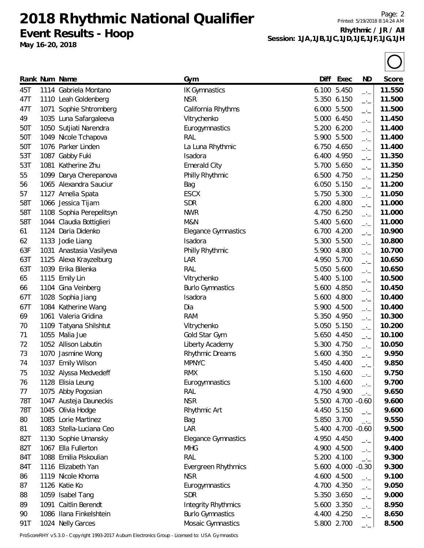**Event Results - Hoop**

**May 16-20, 2018**

Page: 2 Printed: 5/19/2018 8:14:24 AM **Rhythmic / JR / All Session: 1JA,1JB,1JC,1JD,1JE,1JF,1JG,1JH**

|     | Rank Num Name            | Gym                        | Diff  | Exec              | ND                       | Score  |
|-----|--------------------------|----------------------------|-------|-------------------|--------------------------|--------|
| 45T | 1114 Gabriela Montano    | <b>IK Gymnastics</b>       | 6.100 | 5.450             | $\overline{\phantom{a}}$ | 11.550 |
| 47T | 1110 Leah Goldenberg     | <b>NSR</b>                 |       | 5.350 6.150       | $-1$                     | 11.500 |
| 47T | 1071 Sophie Shtromberg   | California Rhythms         | 6.000 | 5.500             | $-1$                     | 11.500 |
| 49  | 1035 Luna Safargaleeva   | Vitrychenko                |       | 5.000 6.450       | $-1$                     | 11.450 |
| 50T | 1050 Sutjiati Narendra   | Eurogymnastics             | 5.200 | 6.200             | $-1$                     | 11.400 |
| 50T | 1049 Nicole Tchapova     | RAL                        | 5.900 | 5.500             | $-1$                     | 11.400 |
| 50T | 1076 Parker Linden       | La Luna Rhythmic           | 6.750 | 4.650             | $-1$                     | 11.400 |
| 53T | 1087 Gabby Fuki          | Isadora                    |       | 6.400 4.950       | $-1$                     | 11.350 |
| 53T | 1081 Katherine Zhu       | <b>Emerald City</b>        | 5.700 | 5.650             | $-1$                     | 11.350 |
| 55  | 1099 Darya Cherepanova   | Philly Rhythmic            |       | 6.500 4.750       | $ -$                     | 11.250 |
| 56  | 1065 Alexandra Sauciur   | Bag                        |       | 6.050 5.150       | $\overline{\phantom{a}}$ | 11.200 |
| 57  | 1127 Amelia Spata        | <b>ESCX</b>                |       | 5.750 5.300       | $\Box$                   | 11.050 |
| 58T | 1066 Jessica Tijam       | <b>SDR</b>                 |       | 6.200 4.800       | $-1$                     | 11.000 |
| 58T | 1108 Sophia Perepelitsyn | <b>NWR</b>                 | 4.750 | 6.250             | $-1$                     | 11.000 |
| 58T | 1044 Claudia Bottiglieri | M&N                        |       | 5.400 5.600       | $-1$                     | 11.000 |
| 61  | 1124 Daria Didenko       | <b>Elegance Gymnastics</b> |       | 6.700 4.200       | $\overline{\phantom{a}}$ | 10.900 |
| 62  | 1133 Jodie Liang         | Isadora                    | 5.300 | 5.500             | $ -$                     | 10.800 |
| 63F | 1031 Anastasia Vasilyeva | Philly Rhythmic            | 5.900 | 4.800             | $-1$                     | 10.700 |
| 63T | 1125 Alexa Krayzelburg   | LAR                        |       | 4.950 5.700       | $\Box$                   | 10.650 |
| 63T | 1039 Erika Bilenka       | <b>RAL</b>                 | 5.050 | 5.600             | $-1$                     | 10.650 |
| 65  | 1115 Emily Lin           | Vitrychenko                | 5.400 | 5.100             | $-1$                     | 10.500 |
| 66  | 1104 Gina Veinberg       | <b>Burlo Gymnastics</b>    | 5.600 | 4.850             | $-1$                     | 10.450 |
| 67T | 1028 Sophia Jiang        | Isadora                    |       | 5.600 4.800       | $\Box$                   | 10.400 |
| 67T | 1084 Katherine Wang      | Dia                        |       | 5.900 4.500       | $ -$                     | 10.400 |
| 69  | 1061 Valeria Gridina     | <b>RAM</b>                 |       | 5.350 4.950       | $-1$                     | 10.300 |
| 70  | 1109 Tatyana Shilshtut   | Vitrychenko                |       | 5.050 5.150       | $\Box$                   | 10.200 |
| 71  | 1055 Malia Jue           | Gold Star Gym              |       | 5.650 4.450       | $\Box$                   | 10.100 |
| 72  | 1052 Allison Labutin     | Liberty Academy            |       | 5.300 4.750       | $-1$                     | 10.050 |
| 73  | 1070 Jasmine Wong        | <b>Rhythmic Dreams</b>     | 5.600 | 4.350             | $-1$                     | 9.950  |
| 74  | 1037 Emily Wilson        | <b>MPNYC</b>               |       | 5.450 4.400       | $-1$                     | 9.850  |
| 75  | 1032 Alyssa Medvedeff    | <b>RMX</b>                 |       | 5.150 4.600       | $-1$                     | 9.750  |
| 76  | 1128 Elisia Leung        | Eurogymnastics             |       | 5.100 4.600       | —'—                      | 9.700  |
| 77  | 1075 Abby Pogosian       | RAL                        |       | 4.750 4.900       | $-1$                     | 9.650  |
| 78T | 1047 Austeja Dauneckis   | <b>NSR</b>                 |       | 5.500 4.700 -0.60 |                          | 9.600  |
| 78T | 1045 Olivia Hodge        | Rhythmic Art               |       | 4.450 5.150       | $-1$                     | 9.600  |
| 80  | 1085 Lorie Martinez      | Bag                        |       | 5.850 3.700       | $-1$                     | 9.550  |
| 81  | 1083 Stella-Luciana Ceo  | LAR                        |       | 5.400 4.700 -0.60 |                          | 9.500  |
| 82T | 1130 Sophie Umansky      | <b>Elegance Gymnastics</b> |       | 4.950 4.450       | $-1$                     | 9.400  |
| 82T | 1067 Ella Fullerton      | <b>MHG</b>                 |       | 4.900 4.500       | $-1$                     | 9.400  |
| 84T | 1088 Emilia Piskoulian   | RAL                        |       | 5.200 4.100       | $-1$                     | 9.300  |
| 84T | 1116 Elizabeth Yan       | Evergreen Rhythmics        |       | 5.600 4.000 -0.30 |                          | 9.300  |
| 86  | 1119 Nicole Khoma        | <b>NSR</b>                 |       | 4.600 4.500       | $-1$                     | 9.100  |
| 87  | 1126 Katie Ko            | Eurogymnastics             |       | 4.700 4.350       | $ -$                     | 9.050  |
| 88  | 1059 Isabel Tang         | <b>SDR</b>                 |       | 5.350 3.650       | $-1$                     | 9.000  |
| 89  | 1091 Caitlin Berendt     | <b>Integrity Rhythmics</b> |       | 5.600 3.350       |                          | 8.950  |
| 90  | 1086 Ilana Finkelshtein  | <b>Burlo Gymnastics</b>    |       | 4.400 4.250       | $-$ ' $-$<br>$ -$        | 8.650  |
| 91T | 1024 Nelly Garces        | Mosaic Gymnastics          |       | 5.800 2.700       | $-1$                     | 8.500  |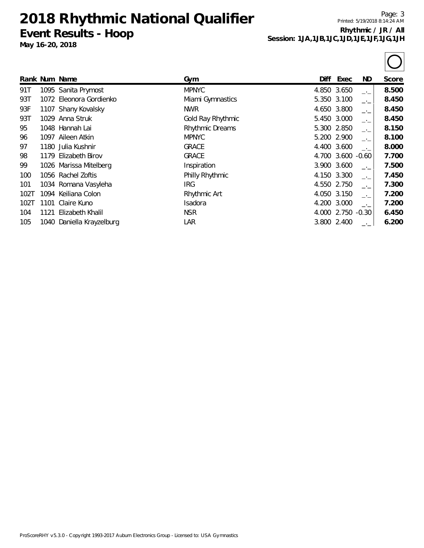**Event Results - Hoop**

**May 16-20, 2018**

Page: 3 Printed: 5/19/2018 8:14:24 AM **Rhythmic / JR / All Session: 1JA,1JB,1JC,1JD,1JE,1JF,1JG,1JH**

|      |      | Rank Num Name             | Gym                    | Diff | Exec              | ND.           | Score |
|------|------|---------------------------|------------------------|------|-------------------|---------------|-------|
| 91T  |      | 1095 Sanita Prymost       | <b>MPNYC</b>           |      | 4.850 3.650       | $-1$          | 8.500 |
| 93T  |      | 1072 Eleonora Gordienko   | Miami Gymnastics       |      | 5.350 3.100       | $-1$          | 8.450 |
| 93F  |      | 1107 Shany Kovalsky       | <b>NWR</b>             |      | 4.650 3.800       | $-1$          | 8.450 |
| 93T  |      | 1029 Anna Struk           | Gold Ray Rhythmic      |      | 5.450 3.000       | $-1$          | 8.450 |
| 95   |      | 1048 Hannah Lai           | <b>Rhythmic Dreams</b> |      | 5.300 2.850       | $-1$          | 8.150 |
| 96   | 1097 | Aileen Atkin              | <b>MPNYC</b>           |      | 5.200 2.900       | $-1$          | 8.100 |
| 97   |      | 1180 Julia Kushnir        | <b>GRACE</b>           |      | 4.400 3.600       | $-1$          | 8.000 |
| 98   |      | 1179 Elizabeth Birov      | <b>GRACE</b>           |      | 4.700 3.600 -0.60 |               | 7.700 |
| 99   |      | 1026 Marissa Mitelberg    | Inspiration            |      | 3.900 3.600       | $-1$          | 7.500 |
| 100  |      | 1056 Rachel Zoftis        | Philly Rhythmic        |      | 4.150 3.300       | $\rightarrow$ | 7.450 |
| 101  |      | 1034 Romana Vasyleha      | <b>IRG</b>             |      | 4.550 2.750       | $-1$          | 7.300 |
| 102T |      | 1094 Keiliana Colon       | Rhythmic Art           |      | 4.050 3.150       | $-1$          | 7.200 |
| 102T | 1101 | Claire Kuno               | <b>Isadora</b>         |      | 4.200 3.000       | $-1$          | 7.200 |
| 104  | 1121 | Elizabeth Khalil          | <b>NSR</b>             |      | 4.000 2.750 -0.30 |               | 6.450 |
| 105  |      | 1040 Daniella Krayzelburg | LAR                    |      | 3.800 2.400       | $-1$          | 6.200 |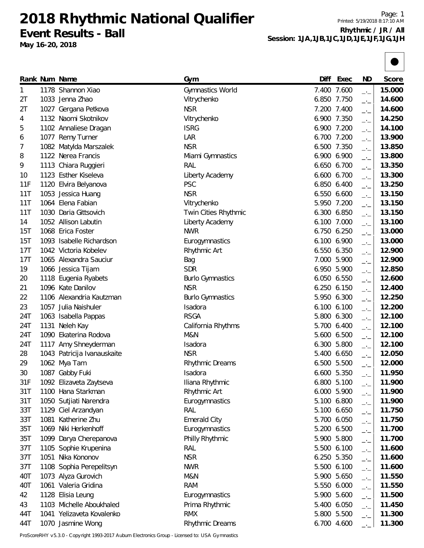**2018 Rhythmic National Qualifier Event Results - Ball**

**May 16-20, 2018**

Page: 1 Printed: 5/19/2018 8:17:10 AM **Rhythmic / JR / All Session: 1JA,1JB,1JC,1JD,1JE,1JF,1JG,1JH**



|            | Rank Num Name               | Gym                     | Diff  | Exec        | <b>ND</b>                | Score  |
|------------|-----------------------------|-------------------------|-------|-------------|--------------------------|--------|
| 1          | 1178 Shannon Xiao           | Gymnastics World        |       | 7.400 7.600 | $-1$                     | 15.000 |
| 2T         | 1033 Jenna Zhao             | Vitrychenko             |       | 6.850 7.750 | $-1$                     | 14.600 |
| 2T         | 1027 Gergana Petkova        | <b>NSR</b>              |       | 7.200 7.400 | $-1$                     | 14.600 |
| 4          | 1132 Naomi Skotnikov        | Vitrychenko             |       | 6.900 7.350 | $-1$                     | 14.250 |
| 5          | 1102 Annaliese Dragan       | <b>ISRG</b>             |       | 6.900 7.200 | $-1$                     | 14.100 |
| 6          | 1077 Remy Turner            | LAR                     |       | 6.700 7.200 | $\overline{\phantom{a}}$ | 13.900 |
| 7          | 1082 Matylda Marszalek      | <b>NSR</b>              |       | 6.500 7.350 | $-1$                     | 13.850 |
| 8          | 1122 Nerea Francis          | Miami Gymnastics        |       | 6.900 6.900 | $-1$                     | 13.800 |
| 9          | 1113 Chiara Ruggieri        | RAL                     |       | 6.650 6.700 | $\rightarrow$            | 13.350 |
| 10         | 1123 Esther Kiseleva        | Liberty Academy         |       | 6.600 6.700 | $\overline{\phantom{a}}$ | 13.300 |
| 11F        | 1120 Elvira Belyanova       | <b>PSC</b>              |       | 6.850 6.400 | $ -$                     | 13.250 |
| 11T        | 1053 Jessica Huang          | <b>NSR</b>              |       | 6.550 6.600 | $-1$                     | 13.150 |
| 11T        | 1064 Elena Fabian           | Vitrychenko             |       | 5.950 7.200 | $-1$                     | 13.150 |
| 11T        | 1030 Daria Gittsovich       | Twin Cities Rhythmic    | 6.300 | 6.850       | $\rightarrow$            | 13.150 |
| 14         | 1052 Allison Labutin        | Liberty Academy         | 6.100 | 7.000       | $-1$                     | 13.100 |
| 15T        | 1068 Erica Foster           | <b>NWR</b>              | 6.750 | 6.250       | $\overline{\phantom{a}}$ | 13.000 |
| <b>15T</b> | 1093 Isabelle Richardson    | Eurogymnastics          |       | 6.100 6.900 | $-1$                     | 13.000 |
| 17T        | 1042 Victoria Kobelev       | Rhythmic Art            |       | 6.550 6.350 | $-1$                     | 12.900 |
| 17T        | 1065 Alexandra Sauciur      | Bag                     |       | 7.000 5.900 | $-1$                     | 12.900 |
| 19         | 1066 Jessica Tijam          | <b>SDR</b>              |       | 6.950 5.900 | $-1$                     | 12.850 |
| 20         | 1118 Eugenia Ryabets        | <b>Burlo Gymnastics</b> |       | 6.050 6.550 | $\overline{\phantom{a}}$ | 12.600 |
| 21         | 1096 Kate Danilov           | <b>NSR</b>              |       | 6.250 6.150 | $-1$                     | 12.400 |
| 22         | 1106 Alexandria Kautzman    | <b>Burlo Gymnastics</b> | 5.950 | 6.300       | $-1$                     | 12.250 |
| 23         | 1057 Julia Naishuler        | Isadora                 |       | 6.100 6.100 | $-1$                     | 12.200 |
| 24T        | 1063 Isabella Pappas        | <b>RSGA</b>             | 5.800 | 6.300       | $\rightarrow$            | 12.100 |
| 24T        | 1131 Neleh Kay              | California Rhythms      | 5.700 | 6.400       | $ -$                     | 12.100 |
| 24T        | 1090 Ekaterina Rodova       | M&N                     | 5.600 | 6.500       | $-1$                     | 12.100 |
| 24T        | 1117 Amy Shneyderman        | Isadora                 | 6.300 | 5.800       | $-1$                     | 12.100 |
| 28         | 1043 Patricija Ivanauskaite | <b>NSR</b>              | 5.400 | 6.650       | $-1$                     | 12.050 |
| 29         | 1062 Mya Tam                | Rhythmic Dreams         | 6.500 | 5.500       | $-$                      | 12.000 |
| 30         | 1087 Gabby Fuki             | Isadora                 |       | 6.600 5.350 | $-1$                     | 11.950 |
| 31F        | 1092 Elizaveta Zaytseva     | Iliana Rhythmic         |       | 6.800 5.100 | —'—                      | 11.900 |
| 31T        | 1100 Hana Starkman          | Rhythmic Art            |       | 6.000 5.900 | $-1$                     | 11.900 |
| 31T        | 1050 Sutjiati Narendra      | Eurogymnastics          |       | 5.100 6.800 | $-1$                     | 11.900 |
| 33T        | 1129 Ciel Arzandyan         | RAL                     |       | 5.100 6.650 | $-1$                     | 11.750 |
| 33T        | 1081 Katherine Zhu          | <b>Emerald City</b>     |       | 5.700 6.050 | $-$                      | 11.750 |
| 35T        | 1069 Niki Herkenhoff        | Eurogymnastics          |       | 5.200 6.500 | $-1$                     | 11.700 |
| 35T        | 1099 Darya Cherepanova      | Philly Rhythmic         |       | 5.900 5.800 | $-1$                     | 11.700 |
| 37T        | 1105 Sophie Krupenina       | RAL                     |       | 5.500 6.100 | $-1$                     | 11.600 |
| 37T        | 1051 Nika Kononov           | <b>NSR</b>              |       | 6.250 5.350 | $\overline{\phantom{a}}$ | 11.600 |
| 37T        | 1108 Sophia Perepelitsyn    | <b>NWR</b>              |       | 5.500 6.100 | $ -$                     | 11.600 |
| 40T        | 1073 Alyza Gurovich         | M&N                     |       | 5.900 5.650 | $-1$                     | 11.550 |
| 40T        | 1061 Valeria Gridina        | <b>RAM</b>              |       | 5.550 6.000 | $-1$                     | 11.550 |
| 42         | 1128 Elisia Leung           | Eurogymnastics          |       | 5.900 5.600 | $-1$                     | 11.500 |
| 43         | 1103 Michelle Aboukhaled    | Prima Rhythmic          |       | 5.400 6.050 | $-1$                     | 11.450 |
| 44T        | 1041 Yelizaveta Kovalenko   | <b>RMX</b>              |       | 5.800 5.500 | $-$                      | 11.300 |
| 44T        | 1070 Jasmine Wong           | Rhythmic Dreams         |       | 6.700 4.600 | $-$                      | 11.300 |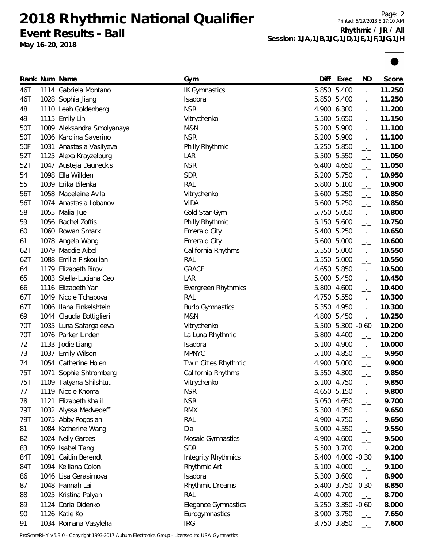**2018 Rhythmic National Qualifier Event Results - Ball**

**May 16-20, 2018**

Page: 2 Printed: 5/19/2018 8:17:10 AM **Rhythmic / JR / All Session: 1JA,1JB,1JC,1JD,1JE,1JF,1JG,1JH**



| 5.400<br>46T<br><b>IK Gymnastics</b><br>5.850<br>11.250<br>1114 Gabriela Montano<br>$-1$<br>5.400<br>11.250<br>46T<br>1028 Sophia Jiang<br>Isadora<br>5.850<br>$-1$<br><b>NSR</b><br>11.200<br>48<br>1110 Leah Goldenberg<br>4.900 6.300<br>$-$<br>1115 Emily Lin<br>5.650<br>11.150<br>49<br>Vitrychenko<br>5.500<br>$\overline{\phantom{a}}$<br>5.900<br>11.100<br>50T<br>1089 Aleksandra Smolyanaya<br>M&N<br>5.200<br>$\overline{\phantom{a}}$<br><b>NSR</b><br>50T<br>1036 Karolina Saverino<br>5.900<br>11.100<br>5.200<br>$-1$<br>5.850<br>11.100<br>50F<br>1031 Anastasia Vasilyeva<br>Philly Rhythmic<br>5.250<br>$-1$<br>LAR<br>5.500 5.550<br>52T<br>1125 Alexa Krayzelburg<br>11.050<br>$-1$<br><b>NSR</b><br>52T<br>1047 Austeja Dauneckis<br>6.400 4.650<br>11.050<br>$\overline{\phantom{a}}$<br><b>SDR</b><br>1098 Ella Willden<br>5.200 5.750<br>10.950<br>54<br>$-1$<br>1039 Erika Bilenka<br>RAL<br>5.800 5.100<br>10.900<br>55<br>$-1$<br>Vitrychenko<br>5.600 5.250<br>10.850<br>56T<br>1058 Madeleine Avila<br>$\overline{\phantom{a}}$<br><b>VIDA</b><br>5.600 5.250<br>10.850<br>56T<br>1074 Anastasia Lobanov<br>$\overline{\phantom{a}}$<br>Gold Star Gym<br>5.050<br>10.800<br>58<br>1055 Malia Jue<br>5.750<br>$-1$<br>Philly Rhythmic<br>5.600<br>10.750<br>59<br>1056 Rachel Zoftis<br>5.150<br>$-1$<br>1060 Rowan Smark<br>5.400 5.250<br>10.650<br><b>Emerald City</b><br>60<br>$\rightarrow$<br><b>Emerald City</b><br>5.600 5.000<br>10.600<br>1078 Angela Wang<br>61<br>$\overline{\phantom{a}}$<br>1079 Maddie Aibel<br>5.000<br>10.550<br>62T<br>California Rhythms<br>5.550<br>$ -$<br>5.000<br>1088 Emilia Piskoulian<br>RAL<br>10.550<br>62T<br>5.550<br>$-1$<br><b>GRACE</b><br>4.650 5.850<br>10.500<br>1179 Elizabeth Birov<br>64<br>$-1$<br>LAR<br>10.450<br>65<br>1083 Stella-Luciana Ceo<br>5.000<br>5.450<br>$-1$<br>10.400<br>1116 Elizabeth Yan<br>5.800 4.600<br>66<br>Evergreen Rhythmics<br>$-1$<br>5.550<br>10.300<br>67T<br>1049 Nicole Tchapova<br>RAL<br>4.750<br>$ -$<br>1086 Ilana Finkelshtein<br>10.300<br>67T<br><b>Burlo Gymnastics</b><br>5.350 4.950<br>$\rightarrow$<br><b>M&amp;N</b><br>4.800 5.450<br>10.250<br>69<br>1044 Claudia Bottiglieri<br>$\rightarrow$ $\rightarrow$<br>1035 Luna Safargaleeva<br>5.500 5.300 -0.60<br>10.200<br>70T<br>Vitrychenko<br>70T<br>1076 Parker Linden<br>4.400<br>10.200<br>La Luna Rhythmic<br>5.800<br>$\overline{\phantom{a}}$<br>10.000<br>72<br>1133 Jodie Liang<br>Isadora<br>5.100 4.900<br>$\overline{\phantom{a}}$<br><b>MPNYC</b><br>9.950<br>73<br>1037 Emily Wilson<br>5.100<br>4.850<br>$ -$<br>1054 Catherine Holen<br>5.000<br>9.900<br>Twin Cities Rhythmic<br>4.900<br>74<br>$-1$<br>1071 Sophie Shtromberg<br>California Rhythms<br>5.550 4.300<br>9.850<br>75T<br>$-1$<br>9.850<br>75T<br>1109 Tatyana Shilshtut<br>5.100 4.750<br>Vitrychenko<br>—'—<br><b>NSR</b><br>1119 Nicole Khoma<br>4.650 5.150<br>9.800<br>77<br>—'—<br><b>NSR</b><br>Elizabeth Khalil<br>5.050 4.650<br>9.700<br>78<br>1121<br>$-1$<br>79T<br>1032 Alyssa Medvedeff<br><b>RMX</b><br>5.300 4.350<br>9.650<br>$-1$<br><b>RAL</b><br>79T<br>1075 Abby Pogosian<br>4.900 4.750<br>9.650<br>$-1$<br>Dia<br>1084 Katherine Wang<br>5.000 4.550<br>9.550<br>81<br>$-1$<br>1024 Nelly Garces<br>9.500<br>82<br>4.900 4.600<br>Mosaic Gymnastics<br>$-1$<br>1059 Isabel Tang<br><b>SDR</b><br>5.500 3.700<br>83<br>9.200<br>$-1$<br>1091 Caitlin Berendt<br>5.400 4.000 -0.30<br>84T<br><b>Integrity Rhythmics</b><br>9.100<br>1094 Keiliana Colon<br>84T<br>Rhythmic Art<br>5.100 4.000<br>9.100<br>$-1$<br>1046 Lisa Gerasimova<br>5.300 3.600<br>Isadora<br>8.900<br>86<br>$\rightarrow$ $\rightarrow$<br>1048 Hannah Lai<br>Rhythmic Dreams<br>5.400 3.750 -0.30<br>8.850<br>87<br>RAL<br>4.000 4.700<br>1025 Kristina Palyan<br>8.700<br>88<br>$-1$<br>1124 Daria Didenko<br>5.250 3.350 -0.60<br>89<br><b>Elegance Gymnastics</b><br>8.000<br>1126 Katie Ko<br>3.900 3.750<br>Eurogymnastics<br>90<br>7.650<br>$\overline{\phantom{a}}$<br>1034 Romana Vasyleha<br>3.750 3.850 |    | Rank Num Name | Gym        | Diff | Exec | ND   | Score |
|-----------------------------------------------------------------------------------------------------------------------------------------------------------------------------------------------------------------------------------------------------------------------------------------------------------------------------------------------------------------------------------------------------------------------------------------------------------------------------------------------------------------------------------------------------------------------------------------------------------------------------------------------------------------------------------------------------------------------------------------------------------------------------------------------------------------------------------------------------------------------------------------------------------------------------------------------------------------------------------------------------------------------------------------------------------------------------------------------------------------------------------------------------------------------------------------------------------------------------------------------------------------------------------------------------------------------------------------------------------------------------------------------------------------------------------------------------------------------------------------------------------------------------------------------------------------------------------------------------------------------------------------------------------------------------------------------------------------------------------------------------------------------------------------------------------------------------------------------------------------------------------------------------------------------------------------------------------------------------------------------------------------------------------------------------------------------------------------------------------------------------------------------------------------------------------------------------------------------------------------------------------------------------------------------------------------------------------------------------------------------------------------------------------------------------------------------------------------------------------------------------------------------------------------------------------------------------------------------------------------------------------------------------------------------------------------------------------------------------------------------------------------------------------------------------------------------------------------------------------------------------------------------------------------------------------------------------------------------------------------------------------------------------------------------------------------------------------------------------------------------------------------------------------------------------------------------------------------------------------------------------------------------------------------------------------------------------------------------------------------------------------------------------------------------------------------------------------------------------------------------------------------------------------------------------------------------------------------------------------------------------------------------------------------------------------------------------------------------------------------------------------------------------------------------------------------------------------------------------------------------------------------------------------------------------------------------------------------------------------------------------------------------------------------------------------------------------------|----|---------------|------------|------|------|------|-------|
|                                                                                                                                                                                                                                                                                                                                                                                                                                                                                                                                                                                                                                                                                                                                                                                                                                                                                                                                                                                                                                                                                                                                                                                                                                                                                                                                                                                                                                                                                                                                                                                                                                                                                                                                                                                                                                                                                                                                                                                                                                                                                                                                                                                                                                                                                                                                                                                                                                                                                                                                                                                                                                                                                                                                                                                                                                                                                                                                                                                                                                                                                                                                                                                                                                                                                                                                                                                                                                                                                                                                                                                                                                                                                                                                                                                                                                                                                                                                                                                                                                                                                   |    |               |            |      |      |      |       |
|                                                                                                                                                                                                                                                                                                                                                                                                                                                                                                                                                                                                                                                                                                                                                                                                                                                                                                                                                                                                                                                                                                                                                                                                                                                                                                                                                                                                                                                                                                                                                                                                                                                                                                                                                                                                                                                                                                                                                                                                                                                                                                                                                                                                                                                                                                                                                                                                                                                                                                                                                                                                                                                                                                                                                                                                                                                                                                                                                                                                                                                                                                                                                                                                                                                                                                                                                                                                                                                                                                                                                                                                                                                                                                                                                                                                                                                                                                                                                                                                                                                                                   |    |               |            |      |      |      |       |
|                                                                                                                                                                                                                                                                                                                                                                                                                                                                                                                                                                                                                                                                                                                                                                                                                                                                                                                                                                                                                                                                                                                                                                                                                                                                                                                                                                                                                                                                                                                                                                                                                                                                                                                                                                                                                                                                                                                                                                                                                                                                                                                                                                                                                                                                                                                                                                                                                                                                                                                                                                                                                                                                                                                                                                                                                                                                                                                                                                                                                                                                                                                                                                                                                                                                                                                                                                                                                                                                                                                                                                                                                                                                                                                                                                                                                                                                                                                                                                                                                                                                                   |    |               |            |      |      |      |       |
|                                                                                                                                                                                                                                                                                                                                                                                                                                                                                                                                                                                                                                                                                                                                                                                                                                                                                                                                                                                                                                                                                                                                                                                                                                                                                                                                                                                                                                                                                                                                                                                                                                                                                                                                                                                                                                                                                                                                                                                                                                                                                                                                                                                                                                                                                                                                                                                                                                                                                                                                                                                                                                                                                                                                                                                                                                                                                                                                                                                                                                                                                                                                                                                                                                                                                                                                                                                                                                                                                                                                                                                                                                                                                                                                                                                                                                                                                                                                                                                                                                                                                   |    |               |            |      |      |      |       |
|                                                                                                                                                                                                                                                                                                                                                                                                                                                                                                                                                                                                                                                                                                                                                                                                                                                                                                                                                                                                                                                                                                                                                                                                                                                                                                                                                                                                                                                                                                                                                                                                                                                                                                                                                                                                                                                                                                                                                                                                                                                                                                                                                                                                                                                                                                                                                                                                                                                                                                                                                                                                                                                                                                                                                                                                                                                                                                                                                                                                                                                                                                                                                                                                                                                                                                                                                                                                                                                                                                                                                                                                                                                                                                                                                                                                                                                                                                                                                                                                                                                                                   |    |               |            |      |      |      |       |
|                                                                                                                                                                                                                                                                                                                                                                                                                                                                                                                                                                                                                                                                                                                                                                                                                                                                                                                                                                                                                                                                                                                                                                                                                                                                                                                                                                                                                                                                                                                                                                                                                                                                                                                                                                                                                                                                                                                                                                                                                                                                                                                                                                                                                                                                                                                                                                                                                                                                                                                                                                                                                                                                                                                                                                                                                                                                                                                                                                                                                                                                                                                                                                                                                                                                                                                                                                                                                                                                                                                                                                                                                                                                                                                                                                                                                                                                                                                                                                                                                                                                                   |    |               |            |      |      |      |       |
|                                                                                                                                                                                                                                                                                                                                                                                                                                                                                                                                                                                                                                                                                                                                                                                                                                                                                                                                                                                                                                                                                                                                                                                                                                                                                                                                                                                                                                                                                                                                                                                                                                                                                                                                                                                                                                                                                                                                                                                                                                                                                                                                                                                                                                                                                                                                                                                                                                                                                                                                                                                                                                                                                                                                                                                                                                                                                                                                                                                                                                                                                                                                                                                                                                                                                                                                                                                                                                                                                                                                                                                                                                                                                                                                                                                                                                                                                                                                                                                                                                                                                   |    |               |            |      |      |      |       |
|                                                                                                                                                                                                                                                                                                                                                                                                                                                                                                                                                                                                                                                                                                                                                                                                                                                                                                                                                                                                                                                                                                                                                                                                                                                                                                                                                                                                                                                                                                                                                                                                                                                                                                                                                                                                                                                                                                                                                                                                                                                                                                                                                                                                                                                                                                                                                                                                                                                                                                                                                                                                                                                                                                                                                                                                                                                                                                                                                                                                                                                                                                                                                                                                                                                                                                                                                                                                                                                                                                                                                                                                                                                                                                                                                                                                                                                                                                                                                                                                                                                                                   |    |               |            |      |      |      |       |
|                                                                                                                                                                                                                                                                                                                                                                                                                                                                                                                                                                                                                                                                                                                                                                                                                                                                                                                                                                                                                                                                                                                                                                                                                                                                                                                                                                                                                                                                                                                                                                                                                                                                                                                                                                                                                                                                                                                                                                                                                                                                                                                                                                                                                                                                                                                                                                                                                                                                                                                                                                                                                                                                                                                                                                                                                                                                                                                                                                                                                                                                                                                                                                                                                                                                                                                                                                                                                                                                                                                                                                                                                                                                                                                                                                                                                                                                                                                                                                                                                                                                                   |    |               |            |      |      |      |       |
|                                                                                                                                                                                                                                                                                                                                                                                                                                                                                                                                                                                                                                                                                                                                                                                                                                                                                                                                                                                                                                                                                                                                                                                                                                                                                                                                                                                                                                                                                                                                                                                                                                                                                                                                                                                                                                                                                                                                                                                                                                                                                                                                                                                                                                                                                                                                                                                                                                                                                                                                                                                                                                                                                                                                                                                                                                                                                                                                                                                                                                                                                                                                                                                                                                                                                                                                                                                                                                                                                                                                                                                                                                                                                                                                                                                                                                                                                                                                                                                                                                                                                   |    |               |            |      |      |      |       |
|                                                                                                                                                                                                                                                                                                                                                                                                                                                                                                                                                                                                                                                                                                                                                                                                                                                                                                                                                                                                                                                                                                                                                                                                                                                                                                                                                                                                                                                                                                                                                                                                                                                                                                                                                                                                                                                                                                                                                                                                                                                                                                                                                                                                                                                                                                                                                                                                                                                                                                                                                                                                                                                                                                                                                                                                                                                                                                                                                                                                                                                                                                                                                                                                                                                                                                                                                                                                                                                                                                                                                                                                                                                                                                                                                                                                                                                                                                                                                                                                                                                                                   |    |               |            |      |      |      |       |
|                                                                                                                                                                                                                                                                                                                                                                                                                                                                                                                                                                                                                                                                                                                                                                                                                                                                                                                                                                                                                                                                                                                                                                                                                                                                                                                                                                                                                                                                                                                                                                                                                                                                                                                                                                                                                                                                                                                                                                                                                                                                                                                                                                                                                                                                                                                                                                                                                                                                                                                                                                                                                                                                                                                                                                                                                                                                                                                                                                                                                                                                                                                                                                                                                                                                                                                                                                                                                                                                                                                                                                                                                                                                                                                                                                                                                                                                                                                                                                                                                                                                                   |    |               |            |      |      |      |       |
|                                                                                                                                                                                                                                                                                                                                                                                                                                                                                                                                                                                                                                                                                                                                                                                                                                                                                                                                                                                                                                                                                                                                                                                                                                                                                                                                                                                                                                                                                                                                                                                                                                                                                                                                                                                                                                                                                                                                                                                                                                                                                                                                                                                                                                                                                                                                                                                                                                                                                                                                                                                                                                                                                                                                                                                                                                                                                                                                                                                                                                                                                                                                                                                                                                                                                                                                                                                                                                                                                                                                                                                                                                                                                                                                                                                                                                                                                                                                                                                                                                                                                   |    |               |            |      |      |      |       |
|                                                                                                                                                                                                                                                                                                                                                                                                                                                                                                                                                                                                                                                                                                                                                                                                                                                                                                                                                                                                                                                                                                                                                                                                                                                                                                                                                                                                                                                                                                                                                                                                                                                                                                                                                                                                                                                                                                                                                                                                                                                                                                                                                                                                                                                                                                                                                                                                                                                                                                                                                                                                                                                                                                                                                                                                                                                                                                                                                                                                                                                                                                                                                                                                                                                                                                                                                                                                                                                                                                                                                                                                                                                                                                                                                                                                                                                                                                                                                                                                                                                                                   |    |               |            |      |      |      |       |
|                                                                                                                                                                                                                                                                                                                                                                                                                                                                                                                                                                                                                                                                                                                                                                                                                                                                                                                                                                                                                                                                                                                                                                                                                                                                                                                                                                                                                                                                                                                                                                                                                                                                                                                                                                                                                                                                                                                                                                                                                                                                                                                                                                                                                                                                                                                                                                                                                                                                                                                                                                                                                                                                                                                                                                                                                                                                                                                                                                                                                                                                                                                                                                                                                                                                                                                                                                                                                                                                                                                                                                                                                                                                                                                                                                                                                                                                                                                                                                                                                                                                                   |    |               |            |      |      |      |       |
|                                                                                                                                                                                                                                                                                                                                                                                                                                                                                                                                                                                                                                                                                                                                                                                                                                                                                                                                                                                                                                                                                                                                                                                                                                                                                                                                                                                                                                                                                                                                                                                                                                                                                                                                                                                                                                                                                                                                                                                                                                                                                                                                                                                                                                                                                                                                                                                                                                                                                                                                                                                                                                                                                                                                                                                                                                                                                                                                                                                                                                                                                                                                                                                                                                                                                                                                                                                                                                                                                                                                                                                                                                                                                                                                                                                                                                                                                                                                                                                                                                                                                   |    |               |            |      |      |      |       |
|                                                                                                                                                                                                                                                                                                                                                                                                                                                                                                                                                                                                                                                                                                                                                                                                                                                                                                                                                                                                                                                                                                                                                                                                                                                                                                                                                                                                                                                                                                                                                                                                                                                                                                                                                                                                                                                                                                                                                                                                                                                                                                                                                                                                                                                                                                                                                                                                                                                                                                                                                                                                                                                                                                                                                                                                                                                                                                                                                                                                                                                                                                                                                                                                                                                                                                                                                                                                                                                                                                                                                                                                                                                                                                                                                                                                                                                                                                                                                                                                                                                                                   |    |               |            |      |      |      |       |
|                                                                                                                                                                                                                                                                                                                                                                                                                                                                                                                                                                                                                                                                                                                                                                                                                                                                                                                                                                                                                                                                                                                                                                                                                                                                                                                                                                                                                                                                                                                                                                                                                                                                                                                                                                                                                                                                                                                                                                                                                                                                                                                                                                                                                                                                                                                                                                                                                                                                                                                                                                                                                                                                                                                                                                                                                                                                                                                                                                                                                                                                                                                                                                                                                                                                                                                                                                                                                                                                                                                                                                                                                                                                                                                                                                                                                                                                                                                                                                                                                                                                                   |    |               |            |      |      |      |       |
|                                                                                                                                                                                                                                                                                                                                                                                                                                                                                                                                                                                                                                                                                                                                                                                                                                                                                                                                                                                                                                                                                                                                                                                                                                                                                                                                                                                                                                                                                                                                                                                                                                                                                                                                                                                                                                                                                                                                                                                                                                                                                                                                                                                                                                                                                                                                                                                                                                                                                                                                                                                                                                                                                                                                                                                                                                                                                                                                                                                                                                                                                                                                                                                                                                                                                                                                                                                                                                                                                                                                                                                                                                                                                                                                                                                                                                                                                                                                                                                                                                                                                   |    |               |            |      |      |      |       |
|                                                                                                                                                                                                                                                                                                                                                                                                                                                                                                                                                                                                                                                                                                                                                                                                                                                                                                                                                                                                                                                                                                                                                                                                                                                                                                                                                                                                                                                                                                                                                                                                                                                                                                                                                                                                                                                                                                                                                                                                                                                                                                                                                                                                                                                                                                                                                                                                                                                                                                                                                                                                                                                                                                                                                                                                                                                                                                                                                                                                                                                                                                                                                                                                                                                                                                                                                                                                                                                                                                                                                                                                                                                                                                                                                                                                                                                                                                                                                                                                                                                                                   |    |               |            |      |      |      |       |
|                                                                                                                                                                                                                                                                                                                                                                                                                                                                                                                                                                                                                                                                                                                                                                                                                                                                                                                                                                                                                                                                                                                                                                                                                                                                                                                                                                                                                                                                                                                                                                                                                                                                                                                                                                                                                                                                                                                                                                                                                                                                                                                                                                                                                                                                                                                                                                                                                                                                                                                                                                                                                                                                                                                                                                                                                                                                                                                                                                                                                                                                                                                                                                                                                                                                                                                                                                                                                                                                                                                                                                                                                                                                                                                                                                                                                                                                                                                                                                                                                                                                                   |    |               |            |      |      |      |       |
|                                                                                                                                                                                                                                                                                                                                                                                                                                                                                                                                                                                                                                                                                                                                                                                                                                                                                                                                                                                                                                                                                                                                                                                                                                                                                                                                                                                                                                                                                                                                                                                                                                                                                                                                                                                                                                                                                                                                                                                                                                                                                                                                                                                                                                                                                                                                                                                                                                                                                                                                                                                                                                                                                                                                                                                                                                                                                                                                                                                                                                                                                                                                                                                                                                                                                                                                                                                                                                                                                                                                                                                                                                                                                                                                                                                                                                                                                                                                                                                                                                                                                   |    |               |            |      |      |      |       |
|                                                                                                                                                                                                                                                                                                                                                                                                                                                                                                                                                                                                                                                                                                                                                                                                                                                                                                                                                                                                                                                                                                                                                                                                                                                                                                                                                                                                                                                                                                                                                                                                                                                                                                                                                                                                                                                                                                                                                                                                                                                                                                                                                                                                                                                                                                                                                                                                                                                                                                                                                                                                                                                                                                                                                                                                                                                                                                                                                                                                                                                                                                                                                                                                                                                                                                                                                                                                                                                                                                                                                                                                                                                                                                                                                                                                                                                                                                                                                                                                                                                                                   |    |               |            |      |      |      |       |
|                                                                                                                                                                                                                                                                                                                                                                                                                                                                                                                                                                                                                                                                                                                                                                                                                                                                                                                                                                                                                                                                                                                                                                                                                                                                                                                                                                                                                                                                                                                                                                                                                                                                                                                                                                                                                                                                                                                                                                                                                                                                                                                                                                                                                                                                                                                                                                                                                                                                                                                                                                                                                                                                                                                                                                                                                                                                                                                                                                                                                                                                                                                                                                                                                                                                                                                                                                                                                                                                                                                                                                                                                                                                                                                                                                                                                                                                                                                                                                                                                                                                                   |    |               |            |      |      |      |       |
|                                                                                                                                                                                                                                                                                                                                                                                                                                                                                                                                                                                                                                                                                                                                                                                                                                                                                                                                                                                                                                                                                                                                                                                                                                                                                                                                                                                                                                                                                                                                                                                                                                                                                                                                                                                                                                                                                                                                                                                                                                                                                                                                                                                                                                                                                                                                                                                                                                                                                                                                                                                                                                                                                                                                                                                                                                                                                                                                                                                                                                                                                                                                                                                                                                                                                                                                                                                                                                                                                                                                                                                                                                                                                                                                                                                                                                                                                                                                                                                                                                                                                   |    |               |            |      |      |      |       |
|                                                                                                                                                                                                                                                                                                                                                                                                                                                                                                                                                                                                                                                                                                                                                                                                                                                                                                                                                                                                                                                                                                                                                                                                                                                                                                                                                                                                                                                                                                                                                                                                                                                                                                                                                                                                                                                                                                                                                                                                                                                                                                                                                                                                                                                                                                                                                                                                                                                                                                                                                                                                                                                                                                                                                                                                                                                                                                                                                                                                                                                                                                                                                                                                                                                                                                                                                                                                                                                                                                                                                                                                                                                                                                                                                                                                                                                                                                                                                                                                                                                                                   |    |               |            |      |      |      |       |
|                                                                                                                                                                                                                                                                                                                                                                                                                                                                                                                                                                                                                                                                                                                                                                                                                                                                                                                                                                                                                                                                                                                                                                                                                                                                                                                                                                                                                                                                                                                                                                                                                                                                                                                                                                                                                                                                                                                                                                                                                                                                                                                                                                                                                                                                                                                                                                                                                                                                                                                                                                                                                                                                                                                                                                                                                                                                                                                                                                                                                                                                                                                                                                                                                                                                                                                                                                                                                                                                                                                                                                                                                                                                                                                                                                                                                                                                                                                                                                                                                                                                                   |    |               |            |      |      |      |       |
|                                                                                                                                                                                                                                                                                                                                                                                                                                                                                                                                                                                                                                                                                                                                                                                                                                                                                                                                                                                                                                                                                                                                                                                                                                                                                                                                                                                                                                                                                                                                                                                                                                                                                                                                                                                                                                                                                                                                                                                                                                                                                                                                                                                                                                                                                                                                                                                                                                                                                                                                                                                                                                                                                                                                                                                                                                                                                                                                                                                                                                                                                                                                                                                                                                                                                                                                                                                                                                                                                                                                                                                                                                                                                                                                                                                                                                                                                                                                                                                                                                                                                   |    |               |            |      |      |      |       |
|                                                                                                                                                                                                                                                                                                                                                                                                                                                                                                                                                                                                                                                                                                                                                                                                                                                                                                                                                                                                                                                                                                                                                                                                                                                                                                                                                                                                                                                                                                                                                                                                                                                                                                                                                                                                                                                                                                                                                                                                                                                                                                                                                                                                                                                                                                                                                                                                                                                                                                                                                                                                                                                                                                                                                                                                                                                                                                                                                                                                                                                                                                                                                                                                                                                                                                                                                                                                                                                                                                                                                                                                                                                                                                                                                                                                                                                                                                                                                                                                                                                                                   |    |               |            |      |      |      |       |
|                                                                                                                                                                                                                                                                                                                                                                                                                                                                                                                                                                                                                                                                                                                                                                                                                                                                                                                                                                                                                                                                                                                                                                                                                                                                                                                                                                                                                                                                                                                                                                                                                                                                                                                                                                                                                                                                                                                                                                                                                                                                                                                                                                                                                                                                                                                                                                                                                                                                                                                                                                                                                                                                                                                                                                                                                                                                                                                                                                                                                                                                                                                                                                                                                                                                                                                                                                                                                                                                                                                                                                                                                                                                                                                                                                                                                                                                                                                                                                                                                                                                                   |    |               |            |      |      |      |       |
|                                                                                                                                                                                                                                                                                                                                                                                                                                                                                                                                                                                                                                                                                                                                                                                                                                                                                                                                                                                                                                                                                                                                                                                                                                                                                                                                                                                                                                                                                                                                                                                                                                                                                                                                                                                                                                                                                                                                                                                                                                                                                                                                                                                                                                                                                                                                                                                                                                                                                                                                                                                                                                                                                                                                                                                                                                                                                                                                                                                                                                                                                                                                                                                                                                                                                                                                                                                                                                                                                                                                                                                                                                                                                                                                                                                                                                                                                                                                                                                                                                                                                   |    |               |            |      |      |      |       |
|                                                                                                                                                                                                                                                                                                                                                                                                                                                                                                                                                                                                                                                                                                                                                                                                                                                                                                                                                                                                                                                                                                                                                                                                                                                                                                                                                                                                                                                                                                                                                                                                                                                                                                                                                                                                                                                                                                                                                                                                                                                                                                                                                                                                                                                                                                                                                                                                                                                                                                                                                                                                                                                                                                                                                                                                                                                                                                                                                                                                                                                                                                                                                                                                                                                                                                                                                                                                                                                                                                                                                                                                                                                                                                                                                                                                                                                                                                                                                                                                                                                                                   |    |               |            |      |      |      |       |
|                                                                                                                                                                                                                                                                                                                                                                                                                                                                                                                                                                                                                                                                                                                                                                                                                                                                                                                                                                                                                                                                                                                                                                                                                                                                                                                                                                                                                                                                                                                                                                                                                                                                                                                                                                                                                                                                                                                                                                                                                                                                                                                                                                                                                                                                                                                                                                                                                                                                                                                                                                                                                                                                                                                                                                                                                                                                                                                                                                                                                                                                                                                                                                                                                                                                                                                                                                                                                                                                                                                                                                                                                                                                                                                                                                                                                                                                                                                                                                                                                                                                                   |    |               |            |      |      |      |       |
|                                                                                                                                                                                                                                                                                                                                                                                                                                                                                                                                                                                                                                                                                                                                                                                                                                                                                                                                                                                                                                                                                                                                                                                                                                                                                                                                                                                                                                                                                                                                                                                                                                                                                                                                                                                                                                                                                                                                                                                                                                                                                                                                                                                                                                                                                                                                                                                                                                                                                                                                                                                                                                                                                                                                                                                                                                                                                                                                                                                                                                                                                                                                                                                                                                                                                                                                                                                                                                                                                                                                                                                                                                                                                                                                                                                                                                                                                                                                                                                                                                                                                   |    |               |            |      |      |      |       |
|                                                                                                                                                                                                                                                                                                                                                                                                                                                                                                                                                                                                                                                                                                                                                                                                                                                                                                                                                                                                                                                                                                                                                                                                                                                                                                                                                                                                                                                                                                                                                                                                                                                                                                                                                                                                                                                                                                                                                                                                                                                                                                                                                                                                                                                                                                                                                                                                                                                                                                                                                                                                                                                                                                                                                                                                                                                                                                                                                                                                                                                                                                                                                                                                                                                                                                                                                                                                                                                                                                                                                                                                                                                                                                                                                                                                                                                                                                                                                                                                                                                                                   |    |               |            |      |      |      |       |
|                                                                                                                                                                                                                                                                                                                                                                                                                                                                                                                                                                                                                                                                                                                                                                                                                                                                                                                                                                                                                                                                                                                                                                                                                                                                                                                                                                                                                                                                                                                                                                                                                                                                                                                                                                                                                                                                                                                                                                                                                                                                                                                                                                                                                                                                                                                                                                                                                                                                                                                                                                                                                                                                                                                                                                                                                                                                                                                                                                                                                                                                                                                                                                                                                                                                                                                                                                                                                                                                                                                                                                                                                                                                                                                                                                                                                                                                                                                                                                                                                                                                                   |    |               |            |      |      |      |       |
|                                                                                                                                                                                                                                                                                                                                                                                                                                                                                                                                                                                                                                                                                                                                                                                                                                                                                                                                                                                                                                                                                                                                                                                                                                                                                                                                                                                                                                                                                                                                                                                                                                                                                                                                                                                                                                                                                                                                                                                                                                                                                                                                                                                                                                                                                                                                                                                                                                                                                                                                                                                                                                                                                                                                                                                                                                                                                                                                                                                                                                                                                                                                                                                                                                                                                                                                                                                                                                                                                                                                                                                                                                                                                                                                                                                                                                                                                                                                                                                                                                                                                   |    |               |            |      |      |      |       |
|                                                                                                                                                                                                                                                                                                                                                                                                                                                                                                                                                                                                                                                                                                                                                                                                                                                                                                                                                                                                                                                                                                                                                                                                                                                                                                                                                                                                                                                                                                                                                                                                                                                                                                                                                                                                                                                                                                                                                                                                                                                                                                                                                                                                                                                                                                                                                                                                                                                                                                                                                                                                                                                                                                                                                                                                                                                                                                                                                                                                                                                                                                                                                                                                                                                                                                                                                                                                                                                                                                                                                                                                                                                                                                                                                                                                                                                                                                                                                                                                                                                                                   |    |               |            |      |      |      |       |
|                                                                                                                                                                                                                                                                                                                                                                                                                                                                                                                                                                                                                                                                                                                                                                                                                                                                                                                                                                                                                                                                                                                                                                                                                                                                                                                                                                                                                                                                                                                                                                                                                                                                                                                                                                                                                                                                                                                                                                                                                                                                                                                                                                                                                                                                                                                                                                                                                                                                                                                                                                                                                                                                                                                                                                                                                                                                                                                                                                                                                                                                                                                                                                                                                                                                                                                                                                                                                                                                                                                                                                                                                                                                                                                                                                                                                                                                                                                                                                                                                                                                                   |    |               |            |      |      |      |       |
|                                                                                                                                                                                                                                                                                                                                                                                                                                                                                                                                                                                                                                                                                                                                                                                                                                                                                                                                                                                                                                                                                                                                                                                                                                                                                                                                                                                                                                                                                                                                                                                                                                                                                                                                                                                                                                                                                                                                                                                                                                                                                                                                                                                                                                                                                                                                                                                                                                                                                                                                                                                                                                                                                                                                                                                                                                                                                                                                                                                                                                                                                                                                                                                                                                                                                                                                                                                                                                                                                                                                                                                                                                                                                                                                                                                                                                                                                                                                                                                                                                                                                   |    |               |            |      |      |      |       |
|                                                                                                                                                                                                                                                                                                                                                                                                                                                                                                                                                                                                                                                                                                                                                                                                                                                                                                                                                                                                                                                                                                                                                                                                                                                                                                                                                                                                                                                                                                                                                                                                                                                                                                                                                                                                                                                                                                                                                                                                                                                                                                                                                                                                                                                                                                                                                                                                                                                                                                                                                                                                                                                                                                                                                                                                                                                                                                                                                                                                                                                                                                                                                                                                                                                                                                                                                                                                                                                                                                                                                                                                                                                                                                                                                                                                                                                                                                                                                                                                                                                                                   |    |               |            |      |      |      |       |
|                                                                                                                                                                                                                                                                                                                                                                                                                                                                                                                                                                                                                                                                                                                                                                                                                                                                                                                                                                                                                                                                                                                                                                                                                                                                                                                                                                                                                                                                                                                                                                                                                                                                                                                                                                                                                                                                                                                                                                                                                                                                                                                                                                                                                                                                                                                                                                                                                                                                                                                                                                                                                                                                                                                                                                                                                                                                                                                                                                                                                                                                                                                                                                                                                                                                                                                                                                                                                                                                                                                                                                                                                                                                                                                                                                                                                                                                                                                                                                                                                                                                                   |    |               |            |      |      |      |       |
|                                                                                                                                                                                                                                                                                                                                                                                                                                                                                                                                                                                                                                                                                                                                                                                                                                                                                                                                                                                                                                                                                                                                                                                                                                                                                                                                                                                                                                                                                                                                                                                                                                                                                                                                                                                                                                                                                                                                                                                                                                                                                                                                                                                                                                                                                                                                                                                                                                                                                                                                                                                                                                                                                                                                                                                                                                                                                                                                                                                                                                                                                                                                                                                                                                                                                                                                                                                                                                                                                                                                                                                                                                                                                                                                                                                                                                                                                                                                                                                                                                                                                   |    |               |            |      |      |      |       |
|                                                                                                                                                                                                                                                                                                                                                                                                                                                                                                                                                                                                                                                                                                                                                                                                                                                                                                                                                                                                                                                                                                                                                                                                                                                                                                                                                                                                                                                                                                                                                                                                                                                                                                                                                                                                                                                                                                                                                                                                                                                                                                                                                                                                                                                                                                                                                                                                                                                                                                                                                                                                                                                                                                                                                                                                                                                                                                                                                                                                                                                                                                                                                                                                                                                                                                                                                                                                                                                                                                                                                                                                                                                                                                                                                                                                                                                                                                                                                                                                                                                                                   |    |               |            |      |      |      |       |
|                                                                                                                                                                                                                                                                                                                                                                                                                                                                                                                                                                                                                                                                                                                                                                                                                                                                                                                                                                                                                                                                                                                                                                                                                                                                                                                                                                                                                                                                                                                                                                                                                                                                                                                                                                                                                                                                                                                                                                                                                                                                                                                                                                                                                                                                                                                                                                                                                                                                                                                                                                                                                                                                                                                                                                                                                                                                                                                                                                                                                                                                                                                                                                                                                                                                                                                                                                                                                                                                                                                                                                                                                                                                                                                                                                                                                                                                                                                                                                                                                                                                                   |    |               |            |      |      |      |       |
|                                                                                                                                                                                                                                                                                                                                                                                                                                                                                                                                                                                                                                                                                                                                                                                                                                                                                                                                                                                                                                                                                                                                                                                                                                                                                                                                                                                                                                                                                                                                                                                                                                                                                                                                                                                                                                                                                                                                                                                                                                                                                                                                                                                                                                                                                                                                                                                                                                                                                                                                                                                                                                                                                                                                                                                                                                                                                                                                                                                                                                                                                                                                                                                                                                                                                                                                                                                                                                                                                                                                                                                                                                                                                                                                                                                                                                                                                                                                                                                                                                                                                   |    |               |            |      |      |      |       |
|                                                                                                                                                                                                                                                                                                                                                                                                                                                                                                                                                                                                                                                                                                                                                                                                                                                                                                                                                                                                                                                                                                                                                                                                                                                                                                                                                                                                                                                                                                                                                                                                                                                                                                                                                                                                                                                                                                                                                                                                                                                                                                                                                                                                                                                                                                                                                                                                                                                                                                                                                                                                                                                                                                                                                                                                                                                                                                                                                                                                                                                                                                                                                                                                                                                                                                                                                                                                                                                                                                                                                                                                                                                                                                                                                                                                                                                                                                                                                                                                                                                                                   | 91 |               | <b>IRG</b> |      |      | $-1$ | 7.600 |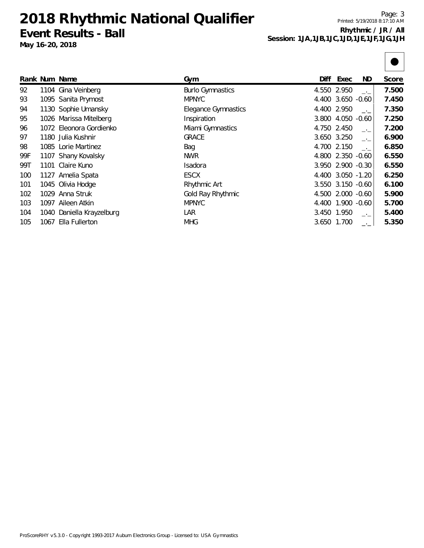**2018 Rhythmic National Qualifier Event Results - Ball**

**May 16-20, 2018**

Page: 3 Printed: 5/19/2018 8:17:10 AM **Rhythmic / JR / All Session: 1JA,1JB,1JC,1JD,1JE,1JF,1JG,1JH**

|     |      | Rank Num Name             | Gym                        | Diff | Exec              | ND.  | Score |
|-----|------|---------------------------|----------------------------|------|-------------------|------|-------|
| 92  |      | 1104 Gina Veinberg        | <b>Burlo Gymnastics</b>    |      | 4.550 2.950       | $-1$ | 7.500 |
| 93  |      | 1095 Sanita Prymost       | <b>MPNYC</b>               |      | 4.400 3.650 -0.60 |      | 7.450 |
| 94  |      | 1130 Sophie Umansky       | <b>Elegance Gymnastics</b> |      | 4.400 2.950       |      | 7.350 |
| 95  |      | 1026 Marissa Mitelberg    | Inspiration                |      | 3.800 4.050 -0.60 |      | 7.250 |
| 96  |      | 1072 Eleonora Gordienko   | Miami Gymnastics           |      | 4.750 2.450       | $-1$ | 7.200 |
| 97  |      | 1180 Julia Kushnir        | <b>GRACE</b>               |      | 3.650 3.250       | $-1$ | 6.900 |
| 98  |      | 1085 Lorie Martinez       | Bag                        |      | 4.700 2.150       | $-1$ | 6.850 |
| 99F |      | 1107 Shany Kovalsky       | NWR                        |      | 4.800 2.350 -0.60 |      | 6.550 |
| 99T |      | 1101 Claire Kuno          | Isadora                    |      | 3.950 2.900 -0.30 |      | 6.550 |
| 100 |      | 1127 Amelia Spata         | <b>ESCX</b>                |      | 4.400 3.050 -1.20 |      | 6.250 |
| 101 |      | 1045 Olivia Hodge         | Rhythmic Art               |      | 3.550 3.150 -0.60 |      | 6.100 |
| 102 |      | 1029 Anna Struk           | Gold Ray Rhythmic          |      | 4.500 2.000 -0.60 |      | 5.900 |
| 103 |      | 1097 Aileen Atkin         | <b>MPNYC</b>               |      | 4.400 1.900 -0.60 |      | 5.700 |
| 104 |      | 1040 Daniella Krayzelburg | LAR                        |      | 3.450 1.950       | ÷.   | 5.400 |
| 105 | 1067 | Ella Fullerton            | <b>MHG</b>                 |      | 3.650 1.700       |      | 5.350 |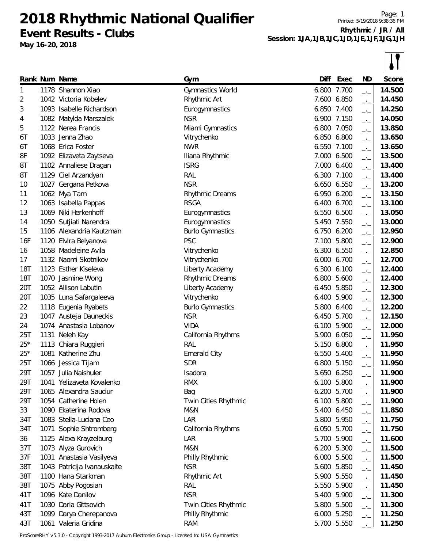**Event Results - Clubs**

**May 16-20, 2018**

Page: 1 Printed: 5/19/2018 9:38:36 PM **Rhythmic / JR / All Session: 1JA,1JB,1JC,1JD,1JE,1JF,1JG,1JH**

|            |      | Rank Num Name               | Gym                     | Diff  | Exec        | ND                       | Score  |
|------------|------|-----------------------------|-------------------------|-------|-------------|--------------------------|--------|
| 1          |      | 1178 Shannon Xiao           | Gymnastics World        |       | 6.800 7.700 | $-$                      | 14.500 |
| 2          |      | 1042 Victoria Kobelev       | Rhythmic Art            |       | 7.600 6.850 | $-1$                     | 14.450 |
| 3          |      | 1093 Isabelle Richardson    | Eurogymnastics          |       | 6.850 7.400 | $-$                      | 14.250 |
| 4          |      | 1082 Matylda Marszalek      | <b>NSR</b>              |       | 6.900 7.150 | $-$                      | 14.050 |
| 5          |      | 1122 Nerea Francis          | Miami Gymnastics        |       | 6.800 7.050 | $ -$                     | 13.850 |
| 6T         | 1033 | Jenna Zhao                  | Vitrychenko             | 6.850 | 6.800       | $-1$                     | 13.650 |
| 6T         |      | 1068 Erica Foster           | <b>NWR</b>              |       | 6.550 7.100 | $-1$                     | 13.650 |
| 8F         |      | 1092 Elizaveta Zaytseva     | Iliana Rhythmic         |       | 7.000 6.500 | $-$                      | 13.500 |
| 8T         |      | 1102 Annaliese Dragan       | <b>ISRG</b>             |       | 7.000 6.400 | $-1$                     | 13.400 |
| 8T         |      | 1129 Ciel Arzandyan         | RAL                     |       | 6.300 7.100 | $-1$                     | 13.400 |
| 10         |      | 1027 Gergana Petkova        | <b>NSR</b>              |       | 6.650 6.550 | $-1$                     | 13.200 |
| 11         |      | 1062 Mya Tam                | Rhythmic Dreams         |       | 6.950 6.200 |                          | 13.150 |
| 12         |      | 1063 Isabella Pappas        | <b>RSGA</b>             | 6.400 | 6.700       | $ -$<br>$-1$             | 13.100 |
| 13         |      | 1069 Niki Herkenhoff        | Eurogymnastics          |       | 6.550 6.500 | $-1$                     | 13.050 |
| 14         |      | 1050 Sutjiati Narendra      | Eurogymnastics          |       | 5.450 7.550 | $\overline{\phantom{a}}$ | 13.000 |
| 15         |      | 1106 Alexandria Kautzman    | <b>Burlo Gymnastics</b> |       | 6.750 6.200 | $-1$                     | 12.950 |
| 16F        |      | 1120 Elvira Belyanova       | <b>PSC</b>              | 7.100 | 5.800       |                          | 12.900 |
| 16         |      | 1058 Madeleine Avila        | Vitrychenko             |       | 6.300 6.550 | $-1$                     | 12.850 |
| 17         |      | 1132 Naomi Skotnikov        | Vitrychenko             | 6.000 | 6.700       | $-1$                     | 12.700 |
| <b>18T</b> |      | 1123 Esther Kiseleva        | Liberty Academy         | 6.300 | 6.100       | $-1$                     | 12.400 |
| 18T        |      | 1070 Jasmine Wong           | <b>Rhythmic Dreams</b>  | 6.800 | 5.600       | $ -$                     | 12.400 |
| 20T        |      | 1052 Allison Labutin        | Liberty Academy         |       | 6.450 5.850 | $-1$                     | 12.300 |
| 20T        |      | 1035 Luna Safargaleeva      | Vitrychenko             | 6.400 | 5.900       | $-1$                     | 12.300 |
| 22         |      | 1118 Eugenia Ryabets        | <b>Burlo Gymnastics</b> | 5.800 | 6.400       | $-1$                     | 12.200 |
| 23         |      | 1047 Austeja Dauneckis      | <b>NSR</b>              | 6.450 | 5.700       | $-1$                     | 12.150 |
| 24         |      | 1074 Anastasia Lobanov      | <b>VIDA</b>             | 6.100 | 5.900       | $-1$                     | 12.000 |
| 25T        |      | 1131 Neleh Kay              | California Rhythms      | 5.900 | 6.050       | $-1$                     | 11.950 |
| $25*$      | 1113 | Chiara Ruggieri             | RAL                     | 5.150 | 6.800       | $ -$                     | 11.950 |
| $25*$      | 1081 | Katherine Zhu               | <b>Emerald City</b>     | 6.550 | 5.400       | $-1$                     | 11.950 |
| 25T        |      | 1066 Jessica Tijam          | <b>SDR</b>              |       | 6.800 5.150 | $-1$<br>$-1$             | 11.950 |
| 29T        |      | 1057 Julia Naishuler        | Isadora                 |       | 5.650 6.250 |                          | 11.900 |
| 29T        | 1041 | Yelizaveta Kovalenko        | <b>RMX</b>              |       | 6.100 5.800 | $-1$                     | 11.900 |
| 29T        |      | 1065 Alexandra Sauciur      | Bag                     |       | 6.200 5.700 | $ -$                     | 11.900 |
| 29T        |      | 1054 Catherine Holen        | Twin Cities Rhythmic    |       | 6.100 5.800 | $-1$                     | 11.900 |
| 33         |      | 1090 Ekaterina Rodova       | M&N                     |       | 5.400 6.450 | $-1$                     | 11.850 |
| 34T        |      | 1083 Stella-Luciana Ceo     | LAR                     |       | 5.800 5.950 | $ -$                     | 11.750 |
| 34T        |      | 1071 Sophie Shtromberg      | California Rhythms      |       | 6.050 5.700 | $-1$                     | 11.750 |
| 36         |      | 1125 Alexa Krayzelburg      | LAR                     | 5.700 | 5.900       | $-1$                     | 11.600 |
| 37T        |      | 1073 Alyza Gurovich         | M&N                     |       | 6.200 5.300 | $ -$                     | 11.500 |
| 37F        |      | 1031 Anastasia Vasilyeva    | Philly Rhythmic         |       | 6.000 5.500 | $-1$                     | 11.500 |
| 38T        |      | 1043 Patricija Ivanauskaite | <b>NSR</b>              |       | 5.600 5.850 | $-1$                     | 11.450 |
| 38T        |      | 1100 Hana Starkman          | Rhythmic Art            |       | 5.900 5.550 | $-1$                     | 11.450 |
| 38T        |      | 1075 Abby Pogosian          | <b>RAL</b>              |       | 5.550 5.900 | $-1$                     | 11.450 |
| 41T        |      | 1096 Kate Danilov           | <b>NSR</b>              |       | 5.400 5.900 | $-1$                     | 11.300 |
| 41T        |      | 1030 Daria Gittsovich       | Twin Cities Rhythmic    |       | 5.800 5.500 | $-1$                     | 11.300 |
| 43T        |      | 1099 Darya Cherepanova      | Philly Rhythmic         |       | 6.000 5.250 | $ -$                     | 11.250 |
| 43T        |      | 1061 Valeria Gridina        | <b>RAM</b>              |       | 5.700 5.550 | —'—                      | 11.250 |
|            |      |                             |                         |       |             |                          |        |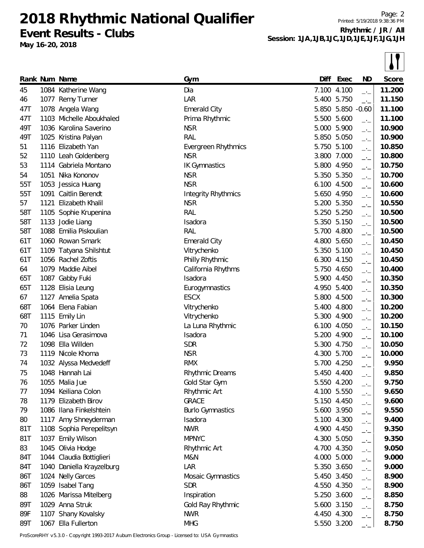**Event Results - Clubs**

**May 16-20, 2018**

Page: 2 Printed: 5/19/2018 9:38:36 PM **Rhythmic / JR / All Session: 1JA,1JB,1JC,1JD,1JE,1JF,1JG,1JH**

|     | Rank Num Name             | Gym                     | Diff  | Exec        | ND                               | Score  |
|-----|---------------------------|-------------------------|-------|-------------|----------------------------------|--------|
| 45  | 1084 Katherine Wang       | Dia                     |       | 7.100 4.100 | $\rightarrow$ $\rightarrow$      | 11.200 |
| 46  | 1077 Remy Turner          | LAR                     | 5.400 | 5.750       | $\rightarrow$ $\rightarrow$      | 11.150 |
| 47T | 1078 Angela Wang          | <b>Emerald City</b>     |       | 5.850 5.850 | $-0.60$                          | 11.100 |
| 47T | 1103 Michelle Aboukhaled  | Prima Rhythmic          |       | 5.500 5.600 | $\rightarrow$ $\rightarrow$      | 11.100 |
| 49T | 1036 Karolina Saverino    | <b>NSR</b>              | 5.000 | 5.900       | $-1$                             | 10.900 |
| 49T | 1025 Kristina Palyan      | RAL                     | 5.850 | 5.050       | $-1$                             | 10.900 |
| 51  | 1116 Elizabeth Yan        | Evergreen Rhythmics     | 5.750 | 5.100       | $-1$                             | 10.850 |
| 52  | 1110 Leah Goldenberg      | <b>NSR</b>              |       | 3.800 7.000 | $\overline{\phantom{a}}$         | 10.800 |
| 53  | 1114 Gabriela Montano     | <b>IK Gymnastics</b>    |       | 5.800 4.950 | $\rightarrow$ $\rightarrow$      | 10.750 |
| 54  | 1051 Nika Kononov         | <b>NSR</b>              |       | 5.350 5.350 | $-1$                             | 10.700 |
| 55T | 1053 Jessica Huang        | <b>NSR</b>              |       | 6.100 4.500 | $\overline{\phantom{a}}$         | 10.600 |
| 55T | 1091 Caitlin Berendt      | Integrity Rhythmics     |       | 5.650 4.950 | $-1$                             | 10.600 |
| 57  | 1121 Elizabeth Khalil     | <b>NSR</b>              | 5.200 | 5.350       | $-$ ' $-$                        | 10.550 |
| 58T | 1105 Sophie Krupenina     | RAL                     |       | 5.250 5.250 | $-1$                             | 10.500 |
| 58T | 1133 Jodie Liang          | Isadora                 |       | 5.350 5.150 | $\overline{\phantom{a}}$         | 10.500 |
| 58T | 1088 Emilia Piskoulian    | <b>RAL</b>              |       | 5.700 4.800 | $-1$                             | 10.500 |
| 61T | 1060 Rowan Smark          | <b>Emerald City</b>     |       | 4.800 5.650 | $-1$                             | 10.450 |
| 61T | 1109 Tatyana Shilshtut    | Vitrychenko             |       | 5.350 5.100 | $\overline{\phantom{a}}$         | 10.450 |
| 61T | 1056 Rachel Zoftis        | Philly Rhythmic         |       | 6.300 4.150 | $\overline{\phantom{a}}$         | 10.450 |
| 64  | 1079 Maddie Aibel         | California Rhythms      |       | 5.750 4.650 | $-1$                             | 10.400 |
| 65T | 1087 Gabby Fuki           | Isadora                 |       | 5.900 4.450 | $-1$                             | 10.350 |
| 65T | 1128 Elisia Leung         | Eurogymnastics          |       | 4.950 5.400 | $-1$                             | 10.350 |
| 67  | 1127 Amelia Spata         | <b>ESCX</b>             |       | 5.800 4.500 | $\overline{\phantom{a}}$         | 10.300 |
| 68T | 1064 Elena Fabian         | Vitrychenko             |       | 5.400 4.800 |                                  | 10.200 |
| 68T | 1115 Emily Lin            | Vitrychenko             | 5.300 | 4.900       | $-$ ' $-$<br>$-1$                | 10.200 |
| 70  | 1076 Parker Linden        | La Luna Rhythmic        | 6.100 | 4.050       | $-1$                             | 10.150 |
| 71  | 1046 Lisa Gerasimova      | Isadora                 |       | 5.200 4.900 | $-1$                             | 10.100 |
| 72  | 1098 Ella Willden         | <b>SDR</b>              |       | 5.300 4.750 | $-$ ' $-$                        | 10.050 |
| 73  | 1119 Nicole Khoma         | <b>NSR</b>              |       | 4.300 5.700 | $-1$                             | 10.000 |
| 74  | 1032 Alyssa Medvedeff     | <b>RMX</b>              |       | 5.700 4.250 | $-1$                             | 9.950  |
| 75  | 1048 Hannah Lai           | Rhythmic Dreams         |       | 5.450 4.400 |                                  | 9.850  |
| 76  | 1055 Malia Jue            | Gold Star Gym           |       | 5.550 4.200 | $-1$                             | 9.750  |
| 77  | 1094 Keiliana Colon       | Rhythmic Art            |       | 4.100 5.550 | $ -$                             | 9.650  |
| 78  | 1179 Elizabeth Birov      | <b>GRACE</b>            |       | 5.150 4.450 | $-1$<br>$\overline{\phantom{a}}$ | 9.600  |
| 79  | 1086 Ilana Finkelshtein   | <b>Burlo Gymnastics</b> |       | 5.600 3.950 |                                  | 9.550  |
| 80  | 1117 Amy Shneyderman      | Isadora                 |       | 5.100 4.300 | $ -$                             | 9.400  |
| 81T | 1108 Sophia Perepelitsyn  | <b>NWR</b>              |       | 4.900 4.450 | $-1$<br>$\overline{\phantom{a}}$ | 9.350  |
| 81T | 1037 Emily Wilson         | <b>MPNYC</b>            |       | 4.300 5.050 |                                  | 9.350  |
| 83  | 1045 Olivia Hodge         | Rhythmic Art            |       | 4.700 4.350 | $-1$                             | 9.050  |
| 84T | 1044 Claudia Bottiglieri  | M&N                     |       | 4.000 5.000 | $ -$                             | 9.000  |
| 84T | 1040 Daniella Krayzelburg | LAR                     |       | 5.350 3.650 | $-1$                             | 9.000  |
| 86T | 1024 Nelly Garces         | Mosaic Gymnastics       |       | 5.450 3.450 | $-1$                             | 8.900  |
| 86T | 1059 Isabel Tang          | <b>SDR</b>              |       | 4.550 4.350 | $\overline{\phantom{a}}$         | 8.900  |
| 88  | 1026 Marissa Mitelberg    | Inspiration             |       | 5.250 3.600 | $-1$                             | 8.850  |
| 89T | 1029 Anna Struk           | Gold Ray Rhythmic       |       | 5.600 3.150 | $-1$                             | 8.750  |
| 89F | 1107 Shany Kovalsky       | <b>NWR</b>              |       | 4.450 4.300 | $\overline{\phantom{a}}$         | 8.750  |
| 89T | 1067 Ella Fullerton       | <b>MHG</b>              |       | 5.550 3.200 | $-$ ' $-$                        | 8.750  |
|     |                           |                         |       |             |                                  |        |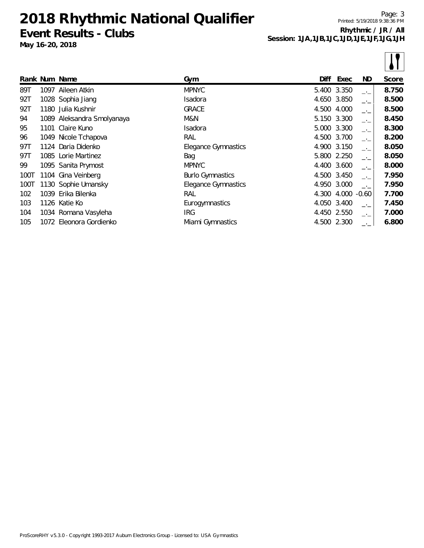**Event Results - Clubs**

**May 16-20, 2018**

Page: 3 Printed: 5/19/2018 9:38:36 PM **Rhythmic / JR / All Session: 1JA,1JB,1JC,1JD,1JE,1JF,1JG,1JH**

 $\boxed{1}$ 

|      |      |                            |                         |       |             |      | $\bullet$ $\bullet$ $\bullet$ |
|------|------|----------------------------|-------------------------|-------|-------------|------|-------------------------------|
|      |      | Rank Num Name              | Gym                     | Diff  | Exec        | ND.  | Score                         |
| 89T  | 1097 | Aileen Atkin               | <b>MPNYC</b>            |       | 5.400 3.350 | —'—  | 8.750                         |
| 92T  |      | 1028 Sophia Jiang          | Isadora                 |       | 4.650 3.850 | $-1$ | 8.500                         |
| 92T  |      | 1180 Julia Kushnir         | <b>GRACE</b>            |       | 4.500 4.000 | $-1$ | 8.500                         |
| 94   |      | 1089 Aleksandra Smolyanaya | M&N                     |       | 5.150 3.300 | $-1$ | 8.450                         |
| 95   |      | 1101 Claire Kuno           | Isadora                 |       | 5.000 3.300 | $-1$ | 8.300                         |
| 96   |      | 1049 Nicole Tchapova       | RAL                     |       | 4.500 3.700 | $-1$ | 8.200                         |
| 97T  |      | 1124 Daria Didenko         | Elegance Gymnastics     |       | 4.900 3.150 | $-1$ | 8.050                         |
| 97T  |      | 1085 Lorie Martinez        | Bag                     |       | 5.800 2.250 | $-1$ | 8.050                         |
| 99   |      | 1095 Sanita Prymost        | <b>MPNYC</b>            |       | 4.400 3.600 | $-1$ | 8.000                         |
| 100T |      | 1104 Gina Veinberg         | <b>Burlo Gymnastics</b> |       | 4.500 3.450 | $-1$ | 7.950                         |
| 100T |      | 1130 Sophie Umansky        | Elegance Gymnastics     |       | 4.950 3.000 | $-1$ | 7.950                         |
| 102  |      | 1039 Erika Bilenka         | RAL                     | 4.300 | 4.000 -0.60 |      | 7.700                         |
| 103  |      | 1126 Katie Ko              | Eurogymnastics          | 4.050 | 3.400       | $-1$ | 7.450                         |
| 104  |      | 1034 Romana Vasyleha       | <b>IRG</b>              |       | 4.450 2.550 | $-1$ | 7.000                         |
| 105  |      | 1072 Eleonora Gordienko    | Miami Gymnastics        |       | 4.500 2.300 |      | 6.800                         |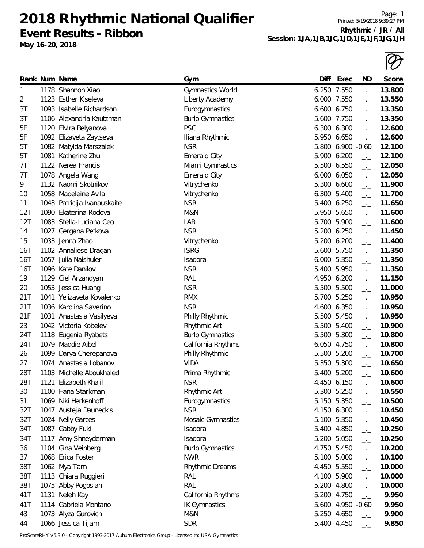**2018 Rhythmic National Qualifier Event Results - Ribbon**

**May 16-20, 2018**

Page: 1 Printed: 5/19/2018 9:39:27 PM **Rhythmic / JR / All Session: 1JA,1JB,1JC,1JD,1JE,1JF,1JG,1JH**

|     | Rank Num Name               | Gym                     | Diff | Exec              | ND                          | <b>Score</b> |
|-----|-----------------------------|-------------------------|------|-------------------|-----------------------------|--------------|
| 1   | 1178 Shannon Xiao           | Gymnastics World        |      | 6.250 7.550       | $\rightarrow$ $\rightarrow$ | 13.800       |
| 2   | 1123 Esther Kiseleva        | Liberty Academy         |      | 6.000 7.550       | $\overline{\phantom{a}}$    | 13.550       |
| 3T  | 1093 Isabelle Richardson    | Eurogymnastics          |      | 6.600 6.750       | $-1$                        | 13.350       |
| 3T  | 1106 Alexandria Kautzman    | <b>Burlo Gymnastics</b> |      | 5.600 7.750       | $-1$                        | 13.350       |
| 5F  | 1120 Elvira Belyanova       | <b>PSC</b>              |      | 6.300 6.300       | $ -$                        | 12.600       |
| 5F  | 1092 Elizaveta Zaytseva     | Iliana Rhythmic         |      | 5.950 6.650       | $\rightarrow$ $\rightarrow$ | 12.600       |
| 5T  | 1082 Matylda Marszalek      | <b>NSR</b>              |      | 5.800 6.900 -0.60 |                             | 12.100       |
| 5T  | 1081 Katherine Zhu          | <b>Emerald City</b>     |      | 5.900 6.200       | $-1$                        | 12.100       |
| 7T  | 1122 Nerea Francis          | Miami Gymnastics        |      | 5.500 6.550       | $\rightarrow$ $\rightarrow$ | 12.050       |
| 7T  | 1078 Angela Wang            | <b>Emerald City</b>     |      | 6.000 6.050       | $-1$                        | 12.050       |
| 9   | 1132 Naomi Skotnikov        | Vitrychenko             |      | 5.300 6.600       | $\rightarrow$               | 11.900       |
| 10  | 1058 Madeleine Avila        | Vitrychenko             |      | 6.300 5.400       | $\rightarrow$ $\rightarrow$ | 11.700       |
| 11  | 1043 Patricija Ivanauskaite | <b>NSR</b>              |      | 5.400 6.250       | $-1$                        | 11.650       |
| 12T | 1090 Ekaterina Rodova       | M&N                     |      | 5.950 5.650       | $-1$                        | 11.600       |
| 12T | 1083 Stella-Luciana Ceo     | LAR                     |      | 5.700 5.900       | $-1$                        | 11.600       |
| 14  | 1027 Gergana Petkova        | <b>NSR</b>              |      | 5.200 6.250       | $\rightarrow$ $\rightarrow$ | 11.450       |
| 15  | 1033 Jenna Zhao             | Vitrychenko             |      | 5.200 6.200       | $-1$                        | 11.400       |
| 16T | 1102 Annaliese Dragan       | <b>ISRG</b>             |      | 5.600 5.750       | $-1$                        | 11.350       |
| 16T | 1057 Julia Naishuler        | Isadora                 |      | 6.000 5.350       | $\overline{\phantom{a}}$    | 11.350       |
| 16T | 1096 Kate Danilov           | <b>NSR</b>              |      | 5.400 5.950       | $\overline{\phantom{a}}$    | 11.350       |
| 19  | 1129 Ciel Arzandyan         | RAL                     |      | 4.950 6.200       | $-1$                        | 11.150       |
| 20  | 1053 Jessica Huang          | <b>NSR</b>              |      | 5.500 5.500       | $-1$                        | 11.000       |
| 21T | 1041 Yelizaveta Kovalenko   | <b>RMX</b>              |      | 5.700 5.250       | $\overline{\phantom{a}}$    | 10.950       |
| 21T | 1036 Karolina Saverino      | <b>NSR</b>              |      | 4.600 6.350       | $\overline{\phantom{a}}$    | 10.950       |
| 21F | 1031 Anastasia Vasilyeva    | Philly Rhythmic         |      | 5.500 5.450       | $-1$                        | 10.950       |
| 23  | 1042 Victoria Kobelev       | Rhythmic Art            |      | 5.500 5.400       | $-1$                        | 10.900       |
| 24T | 1118 Eugenia Ryabets        | <b>Burlo Gymnastics</b> |      | 5.500 5.300       | $ -$                        | 10.800       |
| 24T | 1079 Maddie Aibel           | California Rhythms      |      | 6.050 4.750       | $-1$                        | 10.800       |
| 26  | 1099 Darya Cherepanova      | Philly Rhythmic         |      | 5.500 5.200       | $-1$                        | 10.700       |
| 27  | 1074 Anastasia Lobanov      | <b>VIDA</b>             |      | 5.350 5.300       | $-1$                        | 10.650       |
| 28T | 1103 Michelle Aboukhaled    | Prima Rhythmic          |      | 5.400 5.200       | $ -$                        | 10.600       |
| 28T | 1121 Elizabeth Khalil       | <b>NSR</b>              |      | 4.450 6.150       |                             | 10.600       |
| 30  | 1100 Hana Starkman          | Rhythmic Art            |      | 5.300 5.250       | $-1$                        | 10.550       |
| 31  | 1069 Niki Herkenhoff        | Eurogymnastics          |      | 5.150 5.350       | $-1$                        | 10.500       |
| 32T | 1047 Austeja Dauneckis      | <b>NSR</b>              |      | 4.150 6.300       | $-1$                        | 10.450       |
| 32T | 1024 Nelly Garces           | Mosaic Gymnastics       |      | 5.100 5.350       | $-1$                        | 10.450       |
| 34T | 1087 Gabby Fuki             | Isadora                 |      | 5.400 4.850       | $-1$                        | 10.250       |
| 34T | 1117 Amy Shneyderman        | Isadora                 |      | 5.200 5.050       | $\overline{\phantom{a}}$    | 10.250       |
| 36  | 1104 Gina Veinberg          | <b>Burlo Gymnastics</b> |      | 4.750 5.450       | $ -$                        | 10.200       |
| 37  | 1068 Erica Foster           | <b>NWR</b>              |      | 5.100 5.000       | $-1$                        | 10.100       |
| 38T | 1062 Mya Tam                | <b>Rhythmic Dreams</b>  |      | 4.450 5.550       | $-1$                        | 10.000       |
| 38T | 1113 Chiara Ruggieri        | <b>RAL</b>              |      | 4.100 5.900       | $\overline{\phantom{a}}$    | 10.000       |
| 38T | 1075 Abby Pogosian          | RAL                     |      | 5.200 4.800       | $ -$                        | 10.000       |
| 41T | 1131 Neleh Kay              | California Rhythms      |      | 5.200 4.750       | $-1$                        | 9.950        |
| 41T | 1114 Gabriela Montano       | <b>IK Gymnastics</b>    |      | 5.600 4.950 -0.60 |                             | 9.950        |
| 43  | 1073 Alyza Gurovich         | M&N                     |      | 5.250 4.650       | $\overline{\phantom{a}}$    | 9.900        |
| 44  | 1066 Jessica Tijam          | <b>SDR</b>              |      | 5.400 4.450       |                             | 9.850        |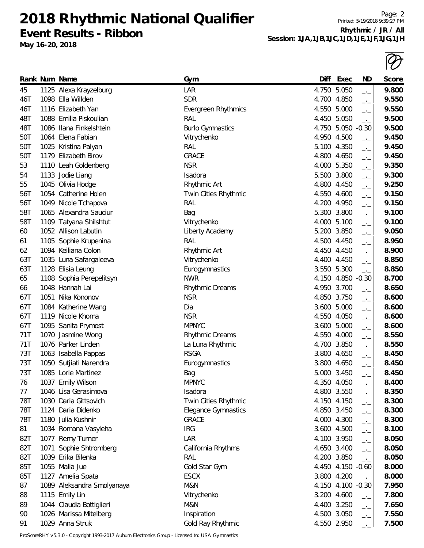**2018 Rhythmic National Qualifier Event Results - Ribbon**

**May 16-20, 2018**

Printed: 5/19/2018 9:39:27 PM **Rhythmic / JR / All** Session: 1JA, 1JB, 1JC, 1JD, 1JE, 1JF,

| JF,1JG,1JH             |
|------------------------|
| $\sqrt{ }$<br>$\sigma$ |

Page: 2

|     | Rank Num Name              | Gym                        | Diff        | Exec              | ND                          | <b>Score</b> |
|-----|----------------------------|----------------------------|-------------|-------------------|-----------------------------|--------------|
| 45  | 1125 Alexa Krayzelburg     | LAR                        | 4.750 5.050 |                   | $-1$                        | 9.800        |
| 46T | 1098 Ella Willden          | <b>SDR</b>                 | 4.700       | 4.850             | $-1$                        | 9.550        |
| 46T | 1116 Elizabeth Yan         | Evergreen Rhythmics        | 4.550 5.000 |                   | $-1$                        | 9.550        |
| 48T | 1088 Emilia Piskoulian     | <b>RAL</b>                 | 4.450       | 5.050             | $-1$                        | 9.500        |
| 48T | 1086 Ilana Finkelshtein    | <b>Burlo Gymnastics</b>    |             | 4.750 5.050 -0.30 |                             | 9.500        |
| 50T | 1064 Elena Fabian          | Vitrychenko                | 4.950 4.500 |                   | $-$ ' $-$                   | 9.450        |
| 50T | 1025 Kristina Palyan       | RAL                        | 5.100 4.350 |                   | $-1$                        | 9.450        |
| 50T | 1179 Elizabeth Birov       | <b>GRACE</b>               | 4.800 4.650 |                   | $-1$                        | 9.450        |
| 53  | 1110 Leah Goldenberg       | <b>NSR</b>                 | 4.000       | 5.350             | $-$ ' $-$                   | 9.350        |
| 54  | 1133 Jodie Liang           | Isadora                    | 5.500 3.800 |                   | $-1$                        | 9.300        |
| 55  | 1045 Olivia Hodge          | Rhythmic Art               | 4.800 4.450 |                   | $\overline{\phantom{a}}$    | 9.250        |
| 56T | 1054 Catherine Holen       | Twin Cities Rhythmic       | 4.550 4.600 |                   | $-$ ' $-$                   | 9.150        |
| 56T | 1049 Nicole Tchapova       | <b>RAL</b>                 | 4.200       | 4.950             | $-1$                        | 9.150        |
| 58T | 1065 Alexandra Sauciur     | Bag                        | 5.300 3.800 |                   | $-1$                        | 9.100        |
| 58T | 1109 Tatyana Shilshtut     | Vitrychenko                | 4.000 5.100 |                   | $\overline{\phantom{a}}$    | 9.100        |
| 60  | 1052 Allison Labutin       | Liberty Academy            | 5.200 3.850 |                   | $-1$                        | 9.050        |
| 61  | 1105 Sophie Krupenina      | <b>RAL</b>                 | 4.500 4.450 |                   | $-1$                        | 8.950        |
| 62  | 1094 Keiliana Colon        | Rhythmic Art               |             | 4.450 4.450       | $ -$                        | 8.900        |
| 63T | 1035 Luna Safargaleeva     | Vitrychenko                | 4.400 4.450 |                   | $-1$                        | 8.850        |
| 63T | 1128 Elisia Leung          | Eurogymnastics             | 3.550       | 5.300             | $-1$                        | 8.850        |
| 65  | 1108 Sophia Perepelitsyn   | <b>NWR</b>                 | 4.150       | 4.850             | $-0.30$                     | 8.700        |
| 66  | 1048 Hannah Lai            | Rhythmic Dreams            | 4.950 3.700 |                   | $-1$                        | 8.650        |
| 67T | 1051 Nika Kononov          | <b>NSR</b>                 | 4.850 3.750 |                   | $-1$                        | 8.600        |
| 67T | 1084 Katherine Wang        | Dia                        | 3.600       | 5.000             | $-1$                        | 8.600        |
| 67T | 1119 Nicole Khoma          | <b>NSR</b>                 | 4.550 4.050 |                   | $\overline{\phantom{a}}$    | 8.600        |
| 67T | 1095 Sanita Prymost        | <b>MPNYC</b>               |             | 3.600 5.000       | $-1$                        | 8.600        |
| 71T | 1070 Jasmine Wong          | Rhythmic Dreams            | 4.550 4.000 |                   | $-1$                        | 8.550        |
| 71T | 1076 Parker Linden         | La Luna Rhythmic           | 4.700       | 3.850             | $-1$                        | 8.550        |
| 73T | 1063 Isabella Pappas       | <b>RSGA</b>                |             | 3.800 4.650       | $-1$                        | 8.450        |
| 73T | 1050 Sutjiati Narendra     | Eurogymnastics             |             | 3.800 4.650       | $\overline{\phantom{a}}$    | 8.450        |
| 73T | 1085 Lorie Martinez        | Bag                        | 5.000 3.450 |                   | $ -$                        | 8.450        |
| 76  | 1037 Emily Wilson          | <b>MPNYC</b>               | 4.350 4.050 |                   | $ -$                        | 8.400        |
| 77  | 1046 Lisa Gerasimova       | Isadora                    | 4.800 3.550 |                   | $-1$                        | 8.350        |
| 78T | 1030 Daria Gittsovich      | Twin Cities Rhythmic       | 4.150 4.150 |                   | $-$ ' $-$                   | 8.300        |
| 78T | 1124 Daria Didenko         | <b>Elegance Gymnastics</b> | 4.850 3.450 |                   | $-$ ' $-$                   | 8.300        |
| 78T | 1180 Julia Kushnir         | <b>GRACE</b>               | 4.000 4.300 |                   | $-1$                        | 8.300        |
| 81  | 1034 Romana Vasyleha       | <b>IRG</b>                 |             | 3.600 4.500       | $\overline{\phantom{a}}$    | 8.100        |
| 82T | 1077 Remy Turner           | LAR                        | 4.100 3.950 |                   | $-1$                        | 8.050        |
| 82T | 1071 Sophie Shtromberg     | California Rhythms         | 4.650 3.400 |                   | $\overline{\phantom{a}}$    | 8.050        |
| 82T | 1039 Erika Bilenka         | RAL                        | 4.200 3.850 |                   | $\rightarrow$ $\rightarrow$ | 8.050        |
| 85T | 1055 Malia Jue             | Gold Star Gym              |             | 4.450 4.150 -0.60 |                             | 8.000        |
| 85T | 1127 Amelia Spata          | <b>ESCX</b>                | 3.800 4.200 |                   | $ -$                        | 8.000        |
| 87  | 1089 Aleksandra Smolyanaya | M&N                        |             | 4.150 4.100 -0.30 |                             | 7.950        |
| 88  | 1115 Emily Lin             | Vitrychenko                |             | 3.200 4.600       | $\rightarrow$ $\rightarrow$ | 7.800        |
| 89  | 1044 Claudia Bottiglieri   | M&N                        | 4.400 3.250 |                   | $-1$                        | 7.650        |
| 90  | 1026 Marissa Mitelberg     | Inspiration                | 4.500 3.050 |                   | $-1$                        | 7.550        |
| 91  | 1029 Anna Struk            | Gold Ray Rhythmic          |             | 4.550 2.950       | $-1$                        | 7.500        |